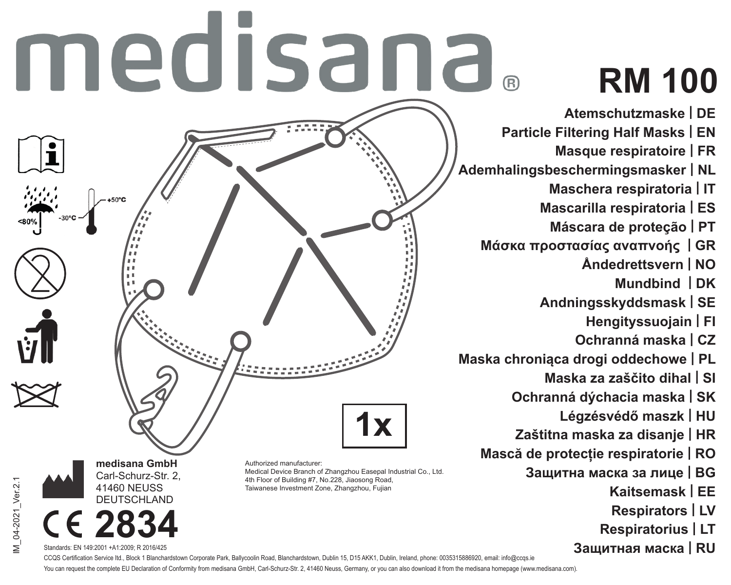# medisana.

# **RM 100**

- **Atemschutzmaske | DE**
- **Particle Filtering Half Masks | EN** 
	- **Masque respiratoire | FR**
- **Ademhalingsbeschermingsmasker | NL**
	- **Maschera respiratoria | IT**
	- **Mascarilla respiratoria | ES**
		- **Máscara de proteção | PT**
	- **Μάσκα προστασίας αναπνοής | GR**
		- **Åndedrettsvern | NO**
			- **Mundbind | DK**
		- **Andningsskyddsmask | SE**
			- **Hengityssuojain | FI**
			- **Ochranná maska | CZ**
- **Maska chroniąca drogi oddechowe | PL**
	- **Maska za zaščito dihal | SI**
	- **Ochranná dýchacia maska | SK**
		- **Légzésvédő maszk | HU**
	- **Zaštitna maska za disanje | HR**
	- **Mască de protecție respiratorie | RO**
		- **Защитна маска за лице | BG**
			- **Kaitsemask | EE**
			- **Respirators | LV**
			- **Respiratorius | LT**
			- **Защитная маска | RU**



Authorized manufacturer: Medical Device Branch of Zhangzhou Easepal Industrial Co., Ltd. 4th Floor of Building #7, No.228, Jiaosong Road, Taiwanese Investment Zone, Zhangzhou, Fujian

/I\_04-2021\_Ver.2.1 IM\_04-2021\_Ver.2.1



Standards: EN 149:2001 +A1:2009; R 2016/425

**medisana GmbH** Carl-Schurz-Str. 2, 41460 NEUSS DEUTSCHLAND

CCOS Certification Service ltd., Block 1 Blanchardstown Corporate Park, Ballycoolin Road, Blanchardstown, Dublin 15, D15 AKK1, Dublin, Ireland, phone: 0035315886920, email: info@ccqs.ie You can request the complete EU Declaration of Conformity from medisana GmbH, Carl-Schurz-Str. 2, 41460 Neuss, Germany, or you can also download it from the medisana homepage (www.medisana.com).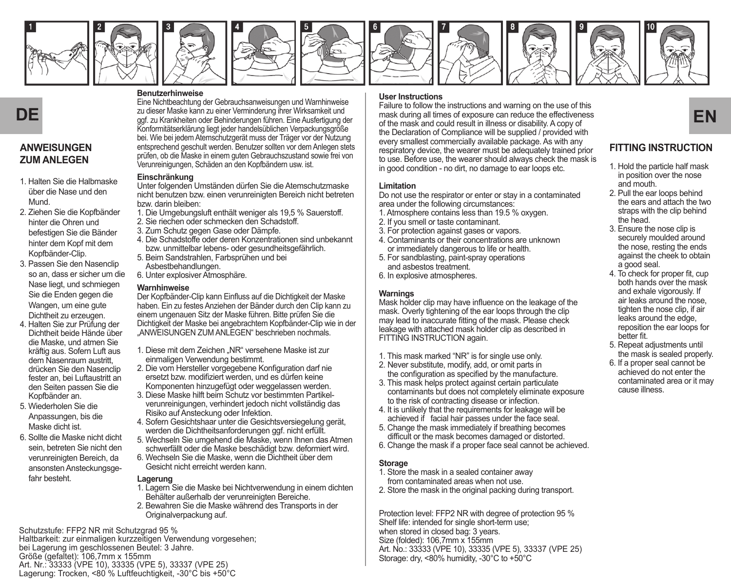















## **ANWEISUNGEN ZUM ANLEGEN**

- 1. Halten Sie die Halbmaske über die Nase und den Mund.
- 2. Ziehen Sie die Kopfbänder hinter die Ohren und befestigen Sie die Bänder hinter dem Kopf mit dem Kopfbänder-Clip.
- 3. Passen Sie den Nasenclip so an, dass er sicher um die Nase liegt, und schmiegen Sie die Enden gegen die Wangen, um eine gute Dichtheit zu erzeugen.
- 4. Halten Sie zur Prüfung der Dichtheit beide Hände über die Maske, und atmen Sie kräftig aus. Sofern Luft aus dem Nasenraum austritt, drücken Sie den Nasenclip fester an, bei Luftaustritt an den Seiten passen Sie die Kopfbänder an.
- 5. Wiederholen Sie die Anpassungen, bis die Maske dicht ist.
- 6. Sollte die Maske nicht dicht sein, betreten Sie nicht den verunreinigten Bereich, da ansonsten Ansteckungsgefahr besteht.

#### **Benutzerhinweise**

Eine Nichtbeachtung der Gebrauchsanweisungen und Warnhinweise zu dieser Maske kann zu einer Verminderung ihrer Wirksamkeit und Konformitätserklärung liegt jeder handelsüblichen Verpackungsgröße bei. Wie bei jedem Atemschutzgerät muss der Träger vor der Nutzung entsprechend geschult werden. Benutzer sollten vor dem Anlegen stets prüfen, ob die Maske in einem guten Gebrauchszustand sowie frei von Verunreinigungen, Schäden an den Kopfbändern usw. ist.

#### **Einschränkung**

Unter folgenden Umständen dürfen Sie die Atemschutzmaske nicht benutzen bzw. einen verunreinigten Bereich nicht betreten bzw. darin bleiben:

- 1. Die Umgebungsluft enthält weniger als 19,5 % Sauerstoff.
- 2. Sie riechen oder schmecken den Schadstoff.
- 3. Zum Schutz gegen Gase oder Dämpfe.
- 4. Die Schadstoffe oder deren Konzentrationen sind unbekannt bzw. unmittelbar lebens- oder gesundheitsgefährlich.
- 5. Beim Sandstrahlen, Farbsprühen und bei Asbestbehandlungen.
- 6. Unter explosiver Atmosphäre.

#### **Warnhinweise**

Der Kopfbänder-Clip kann Einfluss auf die Dichtigkeit der Maske haben. Ein zu festes Anziehen der Bänder durch den Clip kann zu einem ungenauen Sitz der Maske führen. Bitte prüfen Sie die Dichtigkeit der Maske bei angebrachtem Kopfbänder-Clip wie in der "ANWEISUNGEN ZUM ANLEGEN" beschrieben nochmals.

- 1. Diese mit dem Zeichen "NR" versehene Maske ist zur einmaligen Verwendung bestimmt.
- 2. Die vom Hersteller vorgegebene Konfiguration darf nie ersetzt bzw. modifiziert werden, und es dürfen keine Komponenten hinzugefügt oder weggelassen werden.
- 3. Diese Maske hilft beim Schutz vor bestimmten Partikelverunreinigungen, verhindert jedoch nicht vollständig das Risiko auf Ansteckung oder Infektion.
- 4. Sofern Gesichtshaar unter die Gesichtsversiegelung gerät, werden die Dichtheitsanforderungen ggf. nicht erfüllt.
- 5. Wechseln Sie umgehend die Maske, wenn Ihnen das Atmen schwerfällt oder die Maske beschädigt bzw. deformiert wird.
- 6. Wechseln Sie die Maske, wenn die Dichtheit über dem Gesicht nicht erreicht werden kann.

#### **Lagerung**

- 1. Lagern Sie die Maske bei Nichtverwendung in einem dichten Behälter außerhalb der verunreinigten Bereiche.
- 2. Bewahren Sie die Maske während des Transports in der Originalverpackung auf.

Schutzstufe: FFP2 NR mit Schutzgrad 95 % Haltbarkeit: zur einmaligen kurzzeitigen Verwendung vorgesehen; bei Lagerung im geschlossenen Beutel: 3 Jahre. Größe (gefaltet): 106,7mm x 155mm Art. Nr.: 33333 (VPE 10), 33335 (VPE 5), 33337 (VPE 25) Lagerung: Trocken, <80 % Luftfeuchtigkeit, -30°C bis +50°C

#### **User Instructions**

zu dieser Maske kann zu einer Verminderung ihrer Wirksamkeit und **aus der Ausfertung allt ihren** Streeposure can reduce the effectiveness gef. zu Krankheiten oder Behinderungen führen. Eine Ausfertigung der einer der Ausfe Failure to follow the instructions and warning on the use of this mask during all times of exposure can reduce the effectiveness of the mask and could result in illness or disability. A copy of the Declaration of Compliance will be supplied / provided with every smallest commercially available package. As with any respiratory device, the wearer must be adequately trained prior to use. Before use, the wearer should always check the mask is in good condition - no dirt, no damage to ear loops etc.

#### **Limitation**

Do not use the respirator or enter or stay in a contaminated area under the following circumstances:

- 1. Atmosphere contains less than 19.5 % oxygen.
- 2. If you smell or taste contaminant.
- 3. For protection against gases or vapors.
- 4. Contaminants or their concentrations are unknown or immediately dangerous to life or health.
- 5. For sandblasting, paint-spray operations and asbestos treatment.
- 6. In explosive atmospheres.

#### **Warnings**

Mask holder clip may have influence on the leakage of the mask. Overly tightening of the ear loops through the clip may lead to inaccurate fitting of the mask. Please check leakage with attached mask holder clip as described in FITTING INSTRUCTION again.

- 1. This mask marked "NR" is for single use only.
- 2. Never substitute, modify, add, or omit parts in the configuration as specified by the manufacture.
- 3. This mask helps protect against certain particulate contaminants but does not completely eliminate exposure to the risk of contracting disease or infection.
- 4. It is unlikely that the requirements for leakage will be achieved if facial hair passes under the face seal.
- 5. Change the mask immediately if breathing becomes difficult or the mask becomes damaged or distorted.
- 6. Change the mask if a proper face seal cannot be achieved.

#### **Storage**

- 1. Store the mask in a sealed container away from contaminated areas when not use.
- 2. Store the mask in the original packing during transport.

Protection level: FFP2 NR with degree of protection 95 % Shelf life: intended for single short-term use; when stored in closed bag: 3 years. Size (folded): 106,7mm x 155mm Art. No.: 33333 (VPE 10), 33335 (VPE 5), 33337 (VPE 25) Storage: dry, <80% humidity, -30°C to +50°C

## **FITTING INSTRUCTION**

- 1. Hold the particle half mask in position over the nose and mouth.
- 2. Pull the ear loops behind the ears and attach the two straps with the clip behind the head.
- 3. Ensure the nose clip is securely moulded around the nose, resting the ends against the cheek to obtain a good seal.
- 4. To check for proper fit, cup both hands over the mask and exhale vigorously. If air leaks around the nose. tighten the nose clip, if air leaks around the edge, reposition the ear loops for better fit.
- 5. Repeat adjustments until the mask is sealed properly.
- 6. If a proper seal cannot be achieved do not enter the contaminated area or it may cause illness.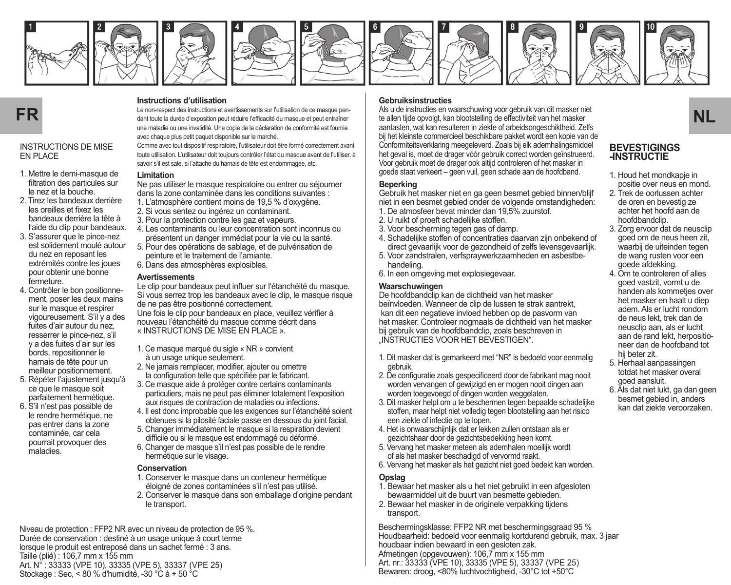

















#### INSTRUCTIONS DE MISE EN PLACE

- 1. Mettre le demi-masque de filtration des particules sur le nez et la bouche.
- 2. Tirez les bandeaux derrière les oreilles et fixez les bandeaux derrière la tête à l'aide du clip pour bandeaux.
- 3. S'assurer que le pince-nez est solidement moulé autour du nez en reposant les extrémités contre les joues pour obtenir une bonne fermeture.
- 4. Contrôler le bon positionnement, poser les deux mains sur le masque et respirer vigoureusement. S'il y a des fuites d'air autour du nez, resserrer le pince-nez, s'il y a des fuites d'air sur les bords, repositionner le harnais de tête pour un meilleur positionnement.
- 5. Répéter l'ajustement jusqu'à ce que le masque soit parfaitement hermétique.
- 6. S'il n'est pas possible de le rendre hermétique, ne pas entrer dans la zone contaminée, car cela pourrait provoquer des maladies.

#### **Instructions d'utilisation**

Le non-respect des instructions et avertissements sur l'utilisation de ce masque pendant toute la durée d'exposition peut réduire l'efficacité du masque et peut entraîner une maladie ou une invalidité. Une copie de la déclaration de conformité est fournie avec chaque plus petit paquet disponible sur le marché.

Comme avec tout dispositif respiratoire, l'utilisateur doit être formé correctement avant toute utilisation. L'utilisateur doit toujours contrôler l'état du masque avant de l'utiliser, à savoir s'il est sale, si l'attache du harnais de tête est endommagée, etc.

#### **Limitation**

Ne pas utiliser le masque respiratoire ou entrer ou séjourner dans la zone contaminée dans les conditions suivantes :

- 1. L'atmosphère contient moins de 19,5 % d'oxygène.
- 2. Si vous sentez ou ingérez un contaminant.
- 3. Pour la protection contre les gaz et vapeurs.
- 4. Les contaminants ou leur concentration sont inconnus ou présentent un danger immédiat pour la vie ou la santé.
- 5. Pour des opérations de sablage, et de pulvérisation de peinture et le traitement de l'amiante.
- 6. Dans des atmosphères explosibles.

#### **Avertissements**

Le clip pour bandeaux peut influer sur l'étanchéité du masque. Si vous serrez trop les bandeaux avec le clip, le masque risque de ne pas être positionné correctement.

Une fois le clip pour bandeaux en place, veuillez vérifier à nouveau l'étanchéité du masque comme décrit dans « INSTRUCTIONS DE MISE EN PLACE ».

- 1. Ce masque marqué du sigle « NR » convient à un usage unique seulement.
- 2. Ne jamais remplacer, modifier, ajouter ou omettre la configuration telle que spécifiée par le fabricant.
- 3. Ce masque aide à protéger contre certains contaminants particuliers, mais ne peut pas éliminer totalement l'exposition aux risques de contraction de maladies ou infections.
- 4. Il est donc improbable que les exigences sur l'étanchéité soient obtenues si la pilosité faciale passe en dessous du joint facial.
- 5. Changer immédiatement le masque si la respiration devient difficile ou si le masque est endommagé ou déformé.
- 6. Changer de masque s'il n'est pas possible de le rendre hermétique sur le visage.

#### **Conservation**

- 1. Conserver le masque dans un conteneur hermétique éloigné de zones contaminées s'il n'est pas utilisé.
- 2. Conserver le masque dans son emballage d'origine pendant le transport.

Niveau de protection : FFP2 NR avec un niveau de protection de 95 %. Durée de conservation : destiné à un usage unique à court terme lorsque le produit est entreposé dans un sachet fermé : 3 ans. Taille (plié) : 106,7 mm x 155 mm Art. N° : 33333 (VPE 10), 33335 (VPE 5), 33337 (VPE 25) Stockage : Sec, < 80 % d'humidité, -30 °C à + 50 °C

#### **Gebruiksinstructies**

Le non-respect des instudions et aventsements sur Lubisation de ce masque pen-<br>**FR** examplement of the allen time of the surface of the surface of the callen tijde opvolgt, kan blootstelling de effectiviteit van het masker Als u de instructies en waarschuwing voor gebruik van dit masker niet aantasten, wat kan resulteren in ziekte of arbeidsongeschiktheid. Zelfs bij het kleinste commercieel beschikbare pakket wordt een kopie van de Conformiteitsverklaring meegeleverd. Zoals bij elk ademhalingsmiddel het geval is, moet de drager vóór gebruik correct worden geïnstrueerd. Voor gebruik moet de drager ook altijd controleren of het masker in goede staat verkeert – geen vuil, geen schade aan de hoofdband.

#### **Beperking**

Gebruik het masker niet en ga geen besmet gebied binnen/blijf niet in een besmet gebied onder de volgende omstandigheden: 1. De atmosfeer bevat minder dan 19,5% zuurstof.

- 
- 2. U ruikt of proeft schadelijke stoffen.
- 3. Voor bescherming tegen gas of damp.
- 4. Schadelijke stoffen of concentraties daarvan zijn onbekend of direct gevaarlijk voor de gezondheid of zelfs levensgevaarlijk.
- 5. Voor zandstralen, verfspraywerkzaamheden en asbestbehandeling.
- 6. In een omgeving met explosiegevaar.

#### **Waarschuwingen**

De hoofdbandclip kan de dichtheid van het masker beïnvloeden. Wanneer de clip de lussen te strak aantrekt, kan dit een negatieve invloed hebben op de pasvorm van het masker. Controleer nogmaals de dichtheid van het masker bij gebruik van de hoofdbandclip, zoals beschreven in INSTRUCTIES VOOR HET BEVESTIGEN"

- 1. Dit masker dat is gemarkeerd met "NR" is bedoeld voor eenmalig gebruik.
- 2. De configuratie zoals gespecificeerd door de fabrikant mag nooit worden vervangen of gewijzigd en er mogen nooit dingen aan worden toegevoegd of dingen worden weggelaten.
- 3. Dit masker helpt om u te beschermen tegen bepaalde schadelijke stoffen, maar helpt niet volledig tegen blootstelling aan het risico een ziekte of infectie op te lopen.
- 4. Het is onwaarschijnlijk dat er lekken zullen ontstaan als er gezichtshaar door de gezichtsbedekking heen komt.
- 5. Vervang het masker meteen als ademhalen moeilijk wordt of als het masker beschadigd of vervormd raakt.
- 6. Vervang het masker als het gezicht niet goed bedekt kan worden.

#### **Opslag**

- 1. Bewaar het masker als u het niet gebruikt in een afgesloten bewaarmiddel uit de buurt van besmette gebieden.
- 2. Bewaar het masker in de originele verpakking tijdens transport.

Beschermingsklasse: FFP2 NR met beschermingsgraad 95 % Houdbaarheid: bedoeld voor eenmalig kortdurend gebruik, max. 3 jaar houdbaar indien bewaard in een gesloten zak. Afmetingen (opgevouwen): 106,7 mm x 155 mm Art. nr.: 33333 (VPE 10), 33335 (VPE 5), 33337 (VPE 25) Bewaren: droog, <80% luchtvochtigheid, -30°C tot +50°C

#### **BEVESTIGINGS -INSTRUCTIE**

- 1. Houd het mondkapje in positie over neus en mond.
- 2. Trek de oorlussen achter de oren en bevestig ze achter het hoofd aan de hoofdbandclip.
- 3. Zorg ervoor dat de neusclip goed om de neus heen zit, waarbij de uiteinden tegen de wang rusten voor een goede afdekking.
- 4. Om te controleren of alles goed vastzit, vormt u de handen als kommetjes over het masker en haalt u diep adem. Als er lucht rondom de neus lekt, trek dan de neusclip aan, als er lucht aan de rand lekt, herpositioneer dan de hoofdband tot hij beter zit.
- 5. Herhaal aanpassingen totdat het masker overal goed aansluit.
- 6. Als dat niet lukt, ga dan geen besmet gebied in, anders kan dat ziekte veroorzaken.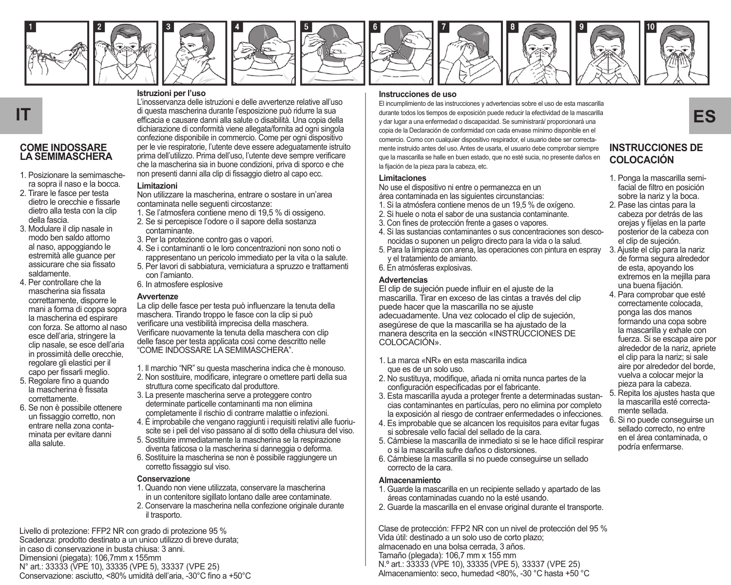

















#### **COME INDOSSARE LA SEMIMASCHERA**

- 1. Posizionare la semimaschera sopra il naso e la bocca.
- 2. Tirare le fasce per testa dietro le orecchie e fissarle dietro alla testa con la clip della fascia.
- 3. Modulare il clip nasale in modo ben saldo attorno al naso, appoggiando le estremità alle guance per assicurare che sia fissato saldamente.
- 4. Per controllare che la mascherina sia fissata correttamente, disporre le mani a forma di coppa sopra la mascherina ed espirare con forza. Se attorno al naso esce dell'aria, stringere la clip nasale, se esce dell'aria in prossimità delle orecchie, regolare gli elastici per il capo per fissarli meglio.
- 5. Regolare fino a quando la mascherina è fissata correttamente.
- 6. Se non è possibile ottenere un fissaggio corretto, non entrare nella zona contaminata per evitare danni alla salute.

#### **Istruzioni per l'uso**

L'inosservanza delle istruzioni e delle avvertenze relative all'uso di questa mascherina durante l'esposizione può ridurre la sua dichiarazione di conformità viene allegata/fornita ad ogni singola confezione disponibile in commercio. Come per ogni dispositivo per le vie respiratorie, l'utente deve essere adeguatamente istruito prima dell'utilizzo. Prima dell'uso, l'utente deve sempre verificare che la mascherina sia in buone condizioni, priva di sporco e che non presenti danni alla clip di fissaggio dietro al capo ecc.

#### **Limitazioni**

Non utilizzare la mascherina, entrare o sostare in un'area contaminata nelle seguenti circostanze:

- 1. Se l'atmosfera contiene meno di 19,5 % di ossigeno.
- 2. Se si percepisce l'odore o il sapore della sostanza contaminante.
- 3. Per la protezione contro gas o vapori.
- 4. Se i contaminanti o le loro concentrazioni non sono noti o rappresentano un pericolo immediato per la vita o la salute.
- 5. Per lavori di sabbiatura, verniciatura a spruzzo e trattamenti con l'amianto.
- 6. In atmosfere esplosive

#### **Avvertenze**

La clip delle fasce per testa può influenzare la tenuta della maschera. Tirando troppo le fasce con la clip si può verificare una vestibilità imprecisa della maschera. Verificare nuovamente la tenuta della maschera con clip delle fasce per testa applicata così come descritto nelle "COME INDOSSARE LA SEMIMASCHERA".

- 1. Il marchio "NR" su questa mascherina indica che è monouso.
- 2. Non sostituire, modificare, integrare o omettere parti della sua struttura come specificato dal produttore.
- 3. La presente mascherina serve a proteggere contro determinate particelle contaminanti ma non elimina completamente il rischio di contrarre malattie o infezioni.
- 4. È improbabile che vengano raggiunti i requisiti relativi alle fuoriuscite se i peli del viso passano al di sotto della chiusura del viso.
- 5. Sostituire immediatamente la mascherina se la respirazione diventa faticosa o la mascherina si danneggia o deforma.
- 6. Sostituire la mascherina se non è possibile raggiungere un corretto fissangio sul viso.

#### **Conservazione**

- 1. Quando non viene utilizzata, conservare la mascherina in un contenitore sigillato lontano dalle aree contaminate.
- 2. Conservare la mascherina nella confezione originale durante il trasporto.

Livello di protezione: FFP2 NR con grado di protezione 95 % Scadenza: prodotto destinato a un unico utilizzo di breve durata; in caso di conservazione in busta chiusa: 3 anni. Dimensioni (piegata): 106,7mm x 155mm N° art.: 33333 (VPE 10), 33335 (VPE 5), 33337 (VPE 25) Conservazione: asciutto, <80% umidità dell'aria, -30°C fino a +50°C

#### **Instrucciones de uso**

di questa mascherina durante l'esposizione può ridurre la sua divente bods ks tempos de enposición puede reducidad de la mascarila<br>Efficacia e causare danni alla salute o disabilità. Una copia della videnuse a una enfermet El incumplimiento de las instrucciones y advertencias sobre el uso de esta mascarilla durante todos los tiempos de exposición puede reducir la efectividad de la mascarilla y dar lugar a una enfermedad o discapacidad. Se suministrará/ proporcionará una copia de la Declaración de conformidad con cada envase mínimo disponible en el comercio. Como con cualquier dispositivo respirador, el usuario debe ser correctamente instruido antes del uso. Antes de usarla, el usuario debe comprobar siempre que la mascarilla se halle en buen estado, que no esté sucia, no presente daños en la fijación de la pieza para la cabeza, etc.

#### **Limitaciones**

No use el dispositivo ni entre o permanezca en un área contaminada en las siguientes circunstancias:

- 1. Si la atmósfera contiene menos de un 19,5 % de oxígeno.
- 2. Si huele o nota el sabor de una sustancia contaminante.
- 3. Con fines de protección frente a gases o vapores.
- 4. Si las sustancias contaminantes o sus concentraciones son desconocidas o suponen un peligro directo para la vida o la salud.
- 5. Para la limpieza con arena, las operaciones con pintura en espray y el tratamiento de amianto.
- 6. En atmósferas explosivas.

#### **Advertencias**

El clip de sujeción puede influir en el ajuste de la mascarilla. Tirar en exceso de las cintas a través del clip puede hacer que la mascarilla no se ajuste adecuadamente. Una vez colocado el clip de sujeción, asegúrese de que la mascarilla se ha ajustado de la manera descrita en la sección «INSTRUCCIONES DE COLOCACIÓN»

- 1. La marca «NR» en esta mascarilla indica que es de un solo uso.
- 2. No sustituya, modifique, añada ni omita nunca partes de la configuración especificadas por el fabricante.
- 3. Esta mascarilla ayuda a proteger frente a determinadas sustancias contaminantes en partículas, pero no elimina por completo la exposición al riesgo de contraer enfermedades o infecciones.
- 4. Es improbable que se alcancen los requisitos para evitar fugas si sobresale vello facial del sellado de la cara.
- 5. Cámbiese la mascarilla de inmediato si se le hace difícil respirar o si la mascarilla sufre daños o distorsiones.
- 6. Cámbiese la mascarilla si no puede conseguirse un sellado correcto de la cara.

#### **Almacenamiento**

- 1. Guarde la mascarilla en un recipiente sellado y apartado de las áreas contaminadas cuando no la esté usando.
- 2. Guarde la mascarilla en el envase original durante el transporte.

Clase de protección: FFP2 NR con un nivel de protección del 95 % Vida útil: destinado a un solo uso de corto plazo; almacenado en una bolsa cerrada, 3 años. Tamaño (plegada): 106,7 mm x 155 mm N.º art.: 33333 (VPE 10), 33335 (VPE 5), 33337 (VPE 25) Almacenamiento: seco, humedad <80%, -30 °C hasta +50 °C

## **INSTRUCCIONES DE COLOCACIÓN**

- 1. Ponga la mascarilla semifacial de filtro en posición sobre la nariz y la boca.
- 2. Pase las cintas para la cabeza por detrás de las orejas y fíjelas en la parte posterior de la cabeza con el clip de sujeción.
- 3. Ajuste el clip para la nariz de forma segura alrededor de esta, apoyando los extremos en la mejilla para una buena fijación.
- 4. Para comprobar que esté correctamente colocada, ponga las dos manos formando una copa sobre la mascarilla y exhale con fuerza. Si se escapa aire por alrededor de la nariz, apriete el clip para la nariz; si sale aire por alrededor del borde, vuelva a colocar mejor la pieza para la cabeza.
- 5. Repita los ajustes hasta que la mascarilla esté correctamente sellada.
- 6. Si no puede conseguirse un sellado correcto, no entre en el área contaminada, o podría enfermarse.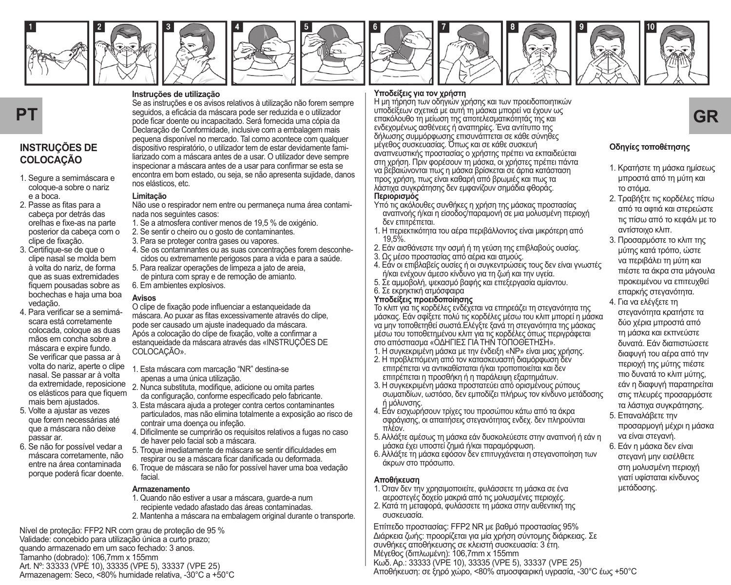















## **INSTRUÇÕES DE COLOCAÇÃO**

- 1. Segure a semimáscara e coloque-a sobre o nariz e a boca.
- 2. Passe as fitas para a cabeça por detrás das orelhas e fixe-as na parte posterior da cabeça com o clipe de fixação.
- 3. Certifique-se de que o clipe nasal se molda bem à volta do nariz, de forma que as suas extremidades fiquem pousadas sobre as bochechas e haja uma boa vedação.
- 4. Para verificar se a semimáscara está corretamente colocada, coloque as duas mãos em concha sobre a máscara e expire fundo. Se verificar que passa ar à volta do nariz, aperte o clipe nasal. Se passar ar à volta os elásticos para que fiquem mais bem ajustados.
- 5. Volte a ajustar as vezes que forem necessárias até que a máscara não deixe passar ar.
- 6. Se não for possível vedar a máscara corretamente, não entre na área contaminada porque poderá ficar doente.

#### **Instruções de utilização**

**PT** seguidos, a eficiacia da máscara pode ser reduzida e o utilizador i was constreumente and may dones uno experimente of the server of the server of **GR**<br>The server of the server of the server of the server of the serv Se as instruções e os avisos relativos à utilização não forem sempre seguidos, a eficácia da máscara pode ser reduzida e o utilizador pode ficar doente ou incapacitado. Será fornecida uma cópia da Declaração de Conformidade, inclusive com a embalagem mais pequena disponível no mercado. Tal como acontece com qualquer dispositivo respiratório, o utilizador tem de estar devidamente familiarizado com a máscara antes de a usar. O utilizador deve sempre inspecionar a máscara antes de a usar para confirmar se esta se encontra em bom estado, ou seja, se não apresenta sujidade, danos nos elásticos, etc.

#### **Limitação**

Não use o respirador nem entre ou permaneça numa área contaminada nos seguintes casos:

- 1. Se a atmosfera contiver menos de 19,5 % de oxigénio.
- 2. Se sentir o cheiro ou o gosto de contaminantes.
- 3. Para se proteger contra gases ou vapores.
- 4. Se os contaminantes ou as suas concentrações forem desconhecidos ou extremamente perigosos para a vida e para a saúde.
- 5. Para realizar operações de limpeza a jato de areia, de pintura com spray e de remoção de amianto.
- 6. Em ambientes explosivos.

#### **Avisos**

O clipe de fixação pode influenciar a estanqueidade da máscara. Ao puxar as fitas excessivamente através do clipe, pode ser causado um ajuste inadequado da máscara. Após a colocação do clipe de fixação, volte a confirmar a estanqueidade da máscara através das «INSTRUÇÕES DE COLOCAÇÃO».

- 1. Esta máscara com marcação "NR" destina-se apenas a uma única utilização.
- da extremidade, reposicione 2. Nunca substituta, modifique, adicione ou omita partes da configuração, conforme especificado pelo fabricante.
	- 3. Esta máscara ajuda a proteger contra certos contaminantes particulados, mas não elimina totalmente a exposição ao risco de contrair uma doença ou infeção.
	- 4. Dificilmente se cumprirão os requisitos relativos a fugas no caso de haver pelo facial sob a máscara.
	- 5. Troque imediatamente de máscara se sentir dificuldades em respirar ou se a máscara ficar danificada ou deformada.
	- 6. Troque de máscara se não for possível haver uma boa vedação facial.

#### **Armazenamento**

- 1. Quando não estiver a usar a máscara, guarde-a num
- recipiente vedado afastado das áreas contaminadas.
- 2. Mantenha a máscara na embalagem original durante o transporte.

Nível de proteção: FFP2 NR com grau de proteção de 95 % Validade: concebido para utilização única a curto prazo; quando armazenado em um saco fechado: 3 anos. Tamanho (dobrado): 106,7mm x 155mm Art. Nº: 33333 (VPE 10), 33335 (VPE 5), 33337 (VPE 25) Armazenagem: Seco, <80% humidade relativa, -30°C a +50°C

#### **Υποδείξεις για τον χρήστη**

Η μη τήρηση των οδηγιών χρήσης και των προειδοποιητικών υποδείξεων σχετικά με αυτή τη μάσκα μπορεί να έχουν ως ενδεχομένως ασθένειες ή αναπηρίες. Ένα αντίτυπο της δήλωσης συμμόρφωσης επισυνάπτεται σε κάθε σύνηθες μέγεθος συσκευασίας. Όπως και σε κάθε συσκευή αναπνευστικής προστασίας ο χρήστης πρέπει να εκπαιδεύεται στη χρήση. Πριν φορέσουν τη μάσκα, οι χρήστες πρέπει πάντα να βεβαιώνονται πως η μάσκα βρίσκεται σε άρτια κατάσταση προς χρήση, πως είναι καθαρή από βρωμιές και πως τα λάστιχα συγκράτησης δεν εμφανίζουν σημάδια φθοράς.

#### **Περιορισμός**

- Υπό τις ακόλουθες συνθήκες η χρήση της μάσκας προστασίας αναπνοής ή/και η είσοδος/παραμονή σε μια μολυσμένη περιοχή δεν επιτρέπεται.
- 1. Η περιεκτικότητα του αέρα περιβάλλοντος είναι μικρότερη από 19,5%.
- 2. Εάν αισθάνεστε την οσμή ή τη γεύση της επιβλαβούς ουσίας.
- 3. Ως μέσο προστασίας από αέρια και ατμούς.
- 4. Εάν οι επιβλαβείς ουσίες ή οι συγκεντρώσεις τους δεν είναι γνωστές ή/και ενέχουν άμεσο κίνδυνο για τη ζωή και την υγεία.
- 5. Σε αμμοβολή, ψεκασμό βαφής και επεξεργασία αμίαντου.
- 6. Σε εκρηκτική ατμόσφαιρα

#### **Υποδείξεις προειδοποίησης**

Το κλιπ για τις κορδέλες ενδέχεται να επηρεάζει τη στεγανότητα της μάσκας. Εάν σφίξετε πολύ τις κορδέλες μέσω του κλιπ μπορεί η μάσκα να μην τοποθετηθεί σωστά.Ελέγξτε ξανά τη στεγανότητα της μάσκας μέσω του τοποθετημένου κλιπ για τις κορδέλες όπως περιγράφεται στο απόσπασμα «ΟΔΗΓΙΕΣ ΓΙΑ ΤΗΝ ΤΟΠΟΘΕΤΗΣΗ». 1. Η συγκεκριμένη μάσκα με την ένδειξη «ΝΡ» είναι μιας χρήσης.

- 2. Η προβλεπόμενη από τον κατασκευαστή διαμόρφωση δεν επιτρέπεται να αντικαθίσταται ή/και τροποποιείται και δεν επιτρέπεται η προσθήκη ή η παράλειψη εξαρτημάτων.
- 3. Η συγκεκριμένη μάσκα προστατεύει από ορισμένους ρύπους σωματιδίων, ωστόσο, δεν εμποδίζει πλήρως τον κίνδυνο μετάδοσης ή μόλυνσης.
- 4. Εάν εισχωρήσουν τρίχες του προσώπου κάτω από τα άκρα σφράγισης, οι απαιτήσεις στεγανότητας ενδεχ. δεν πληρούνται πλέον.
- 5. Αλλάξτε αμέσως τη μάσκα εάν δυσκολεύεστε στην αναπνοή ή εάν η μάσκα έχει υποστεί ζημιά ή/και παραμόρφωση.
- 6. Αλλάξτε τη μάσκα εφόσον δεν επιτυγχάνεται η στεγανοποίηση των άκρων στο πρόσωπο.

#### **Αποθήκευση**

- 1. Όταν δεν την χρησιμοποιείτε, φυλάσσετε τη μάσκα σε ένα αεροστεγές δοχείο μακριά από τις μολυσμένες περιοχές.
- 2. Κατά τη μεταφορά, φυλάσσετε τη μάσκα στην αυθεντική της συσκευασία.

Επίπεδο προστασίας: FFP2 NR με βαθμό προστασίας 95% Διάρκεια ζωής: προορίζεται για μία χρήση σύντομης διάρκειας. Σε συνθήκες αποθήκευσης σε κλειστή συσκευασία: 3 έτη. Μέγεθος (διπλωμένη): 106,7mm x 155mm Κωδ. Αρ.: 33333 (VPE 10), 33335 (VPE 5), 33337 (VPE 25) Αποθήκευση: σε ξηρό χώρο, <80% ατμοσφαιρική υγρασία, -30°C έως +50°C

## **Οδηγίες τοποθέτησης**

- 1. Κρατήστε τη μάσκα ημίσεως μπροστά από τη μύτη και το στόμα.
- 2. Τραβήξτε τις κορδέλες πίσω από τα αφτιά και στερεώστε τις πίσω από το κεφάλι με το αντίστοιχο κλιπ.
- 3. Προσαρμόστε το κλιπ της μύτης κατά τρόπο, ώστε να περιβάλει τη μύτη και πιέστε τα άκρα στα μάγουλα προκειμένου να επιτευχθεί επαρκής στεγανότητα.
- 4. Για να ελέγξετε τη στεγανότητα κρατήστε τα δύο χέρια μπροστά από τη μάσκα και εκπνεύστε δυνατά. Εάν διαπιστώσετε διαφυγή του αέρα από την περιοχή της μύτης πιέστε πιο δυνατά το κλιπ μύτης, εάν η διαφυγή παρατηρείται στις πλευρές προσαρμόστε τα λάστιχα συγκράτησης.
- 5. Επαναλάβετε την προσαρμογή μέχρι η μάσκα να είναι στεγανή.
- 6. Εάν η μάσκα δεν είναι στεγανή μην εισέλθετε στη μολυσμένη περιοχή γιατί υφίσταται κίνδυνος μετάδοσης.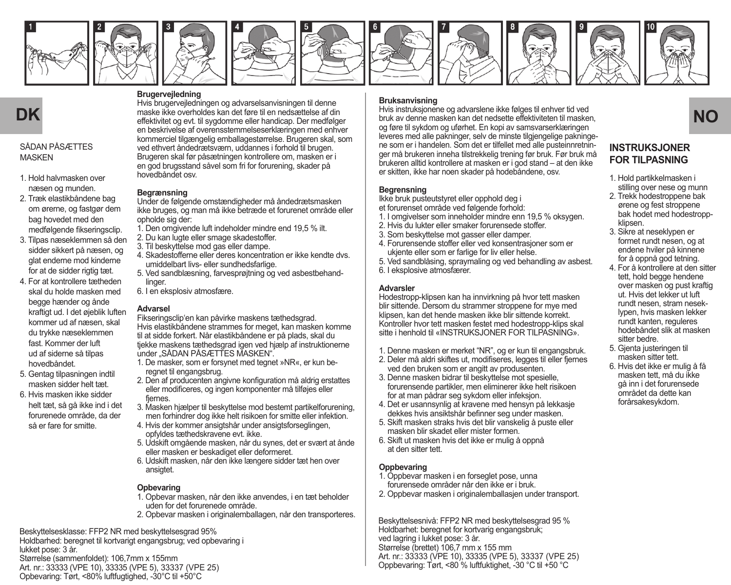

















#### SÅDAN PÅSÆTTES **MASKEN**

- 1. Hold halvmasken over næsen og munden.
- 2. Træk elastikbåndene bag om ørerne, og fastgør dem bag hovedet med den medfølgende fikseringsclip.
- 3. Tilpas næseklemmen så den sidder sikkert på næsen, og glat enderne mod kinderne for at de sidder rigtig tæt.
- 4. For at kontrollere tætheden skal du holde masken med begge hænder og ånde kraftigt ud. I det øjeblik luften kommer ud af næsen, skal du trykke næseklemmen fast. Kommer der luft ud af siderne så tilpas hovedbåndet.
- 5. Gentag tilpasningen indtil masken sidder helt tæt.
- 6. Hvis masken ikke sidder helt tæt, så gå ikke ind i det forurenede område, da der så er fare for smitte.

Hvis brugervejledningen og advarselsanvisningen til denne maske ikke overholdes kan det føre til en nedsættelse af din effektivitet og evt. til sygdomme eller handicap. Der medfølger en beskrivelse af overensstemmelseserklæringen med enhver kommerciel tilgængelig emballagestørrelse. Brugeren skal, som ved ethvert åndedrætsværn, uddannes i forhold til brugen. Brugeren skal før påsætningen kontrollere om, masken er i en god brugsstand såvel som fri for forurening, skader på hovedbåndet osv.

#### **Begrænsning**

**Brugervejledning**

Under de følgende omstændigheder må åndedrætsmasken ikke bruges, og man må ikke betræde et forurenet område eller opholde sig der:

- 1. Den omgivende luft indeholder mindre end 19,5 % ilt.
- 2. Du kan lugte eller smage skadestoffer. 3. Til beskyttelse mod gas eller dampe.
- 
- 4. Skadestofferne eller deres koncentration er ikke kendte dvs. umiddelbart livs- eller sundhedsfarlige.
- 5. Ved sandblæsning, farvesprøjtning og ved asbestbehandlinger.
- 6. I en eksplosiv atmosfære.

#### **Advarsel**

Fikseringsclip'en kan påvirke maskens tæthedsgrad. Hvis elastikbåndene strammes for meget, kan masken komme til at sidde forkert. Når elastikbåndene er på plads, skal du tjekke maskens tæthedsgrad igen ved hjælp af instruktionerne under "SÅDAN PÅSÆTTES MASKEN".

- 1. De masker, som er forsynet med tegnet »NR«, er kun beregnet til engangsbrug.
- 2. Den af producenten angivne konfiguration må aldrig erstattes eller modificeres, og ingen komponenter må tilføjes eller fjernes.
- 3. Masken hjælper til beskyttelse mod bestemt partikelforurening, men forhindrer dog ikke helt risikoen for smitte eller infektion.
- 4. Hvis der kommer ansigtshår under ansigtsforseglingen opfyldes tæthedskravene evt. ikke.
- 5. Udskift omgående masken, når du synes, det er svært at ånde eller masken er beskadiget eller deformeret.
- 6. Udskift masken, når den ikke længere sidder tæt hen over ansigtet.

#### **Opbevaring**

- 1. Opbevar masken, når den ikke anvendes, i en tæt beholder uden for det forurenede område.
- 2. Opbevar masken i originalemballagen, når den transporteres.

Beskyttelsesklasse: FFP2 NR med beskyttelsesgrad 95% Holdbarhed: beregnet til kortvarigt engangsbrug; ved opbevaring i lukket pose: 3 år. Størrelse (sammenfoldet): 106,7mm x 155mm Art. nr.: 33333 (VPE 10), 33335 (VPE 5), 33337 (VPE 25) Opbevaring: Tørt, <80% luftfugtighed, -30°C til +50°C

**Bruksanvisning**

**DK NO**<br> **NO EXECUTE AV OUT AVENT AVENT AVENT AVENT AVENT AVENT AVENT AVENT AVENT AVENT AVENT AVENT AVENT AVENT AVENT AVENT AVENT AVENT AVENT AVENT AVENT AVENT AVENT AVENT AVENT AVENT AVENT AVENT AVENT AVENT AVENT AVEN** Hvis instruksjonene og advarslene ikke følges til enhver tid ved og føre til sykdom og uførhet. En kopi av samsvarserklæringen leveres med alle pakninger, selv de minste tilgjengelige pakningene som er i handelen. Som det er tilfellet med alle pusteinnretninger må brukeren inneha tilstrekkelig trening før bruk. Før bruk må brukeren alltid kontrollere at masken er i god stand – at den ikke er skitten, ikke har noen skader på hodebåndene, osv.

#### **Begrensning**

Ikke bruk pusteutstyret eller opphold deg i et forurenset område ved følgende forhold:

- 1. I omgivelser som inneholder mindre enn 19,5 % oksygen.
- 2. Hvis du lukter eller smaker forurensede stoffer.
- 3. Som beskyttelse mot gasser eller damper.
- 4. Forurensende stoffer eller ved konsentrasjoner som er ukjente eller som er farlige for liv eller helse.
- 5. Ved sandblåsing, spraymaling og ved behandling av asbest. 6. I eksplosive atmosfærer.

#### **Advarsler**

Hodestropp-klipsen kan ha innvirkning på hvor tett masken blir sittende. Dersom du strammer stroppene for mye med klipsen, kan det hende masken ikke blir sittende korrekt. Kontroller hvor tett masken festet med hodestropp-klips skal sitte i henhold til «INSTRUKSJONER FOR TILPASNING».

- 1. Denne masken er merket "NR", og er kun til engangsbruk.
- 2. Deler må aldri skiftes ut, modifiseres, legges til eller fiernes ved den bruken som er angitt av produsenten.
- 3. Denne masken bidrar til beskyttelse mot spesielle, forurensende partikler, men eliminerer ikke helt risikoen for at man pådrar seg sykdom eller infeksjon.
- 4. Det er usannsynlig at kravene med hensyn på lekkasje dekkes hvis ansiktshår befinner seg under masken.
- 5. Skift masken straks hvis det blir vanskelig å puste eller masken blir skadet eller mister formen.
- 6. Skift ut masken hvis det ikke er mulig å oppnå at den sitter tett.

#### **Oppbevaring**

- 1. Oppbevar masken i en forseglet pose, unna forurensede områder når den ikke er i bruk.
- 2. Oppbevar masken i originalemballasjen under transport.

Beskyttelsesnivå: FFP2 NR med beskyttelsesgrad 95 % Holdbarhet: beregnet for kortvarig engangsbruk; ved lagring i lukket pose: 3 år. Størrelse (brettet) 106,7 mm x 155 mm Art. nr.: 33333 (VPE 10), 33335 (VPE 5), 33337 (VPE 25) Oppbevaring: Tørt, <80 % luftfuktighet, -30 °C til +50 °C

# **INSTRUKS IONER**

- **FOR TILPASNING** 1. Hold partikkelmasken i stilling over nese og munn
- 2. Trekk hodestroppene bak ørene og fest stroppene hak hodet med hodestroppklipsen.
- 3. Sikre at neseklypen er formet rundt nesen, og at endene hviler på kinnene for å oppnå god tetning.
- 4. For å kontrollere at den sitter tett, hold begge hendene over masken og pust kraftig ut. Hvis det lekker ut luft rundt nesen, stram neseklypen, hvis masken lekker rundt kanten, reguleres hodebåndet slik at masken sitter bedre.
- 5. Gjenta justeringen til masken sitter tett.
- 6. Hvis det ikke er mulig å få masken tett, må du ikke gå inn i det forurensede området da dette kan forårsakesykdom.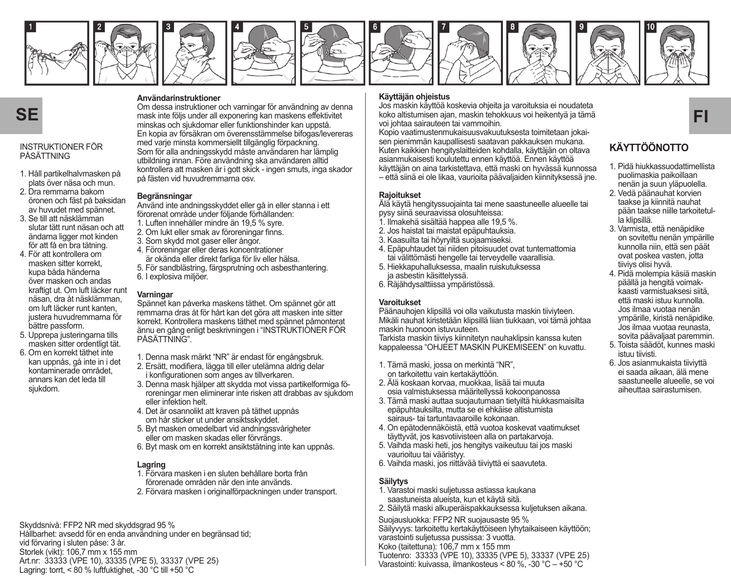

















#### INSTRUKTIONER FÖR PÅSÄTTNING

- 1. Håll partikelhalvmasken på plats över näsa och mun.
- 2. Dra remmarna bakom öronen och fäst på baksidan av huvudet med spännet.
- 3. Se till att näsklämman slutar tätt runt näsan och att ändarna ligger mot kinden för att få en bra tätning.
- 4. För att kontrollera om masken sitter korrekt, kupa båda händerna över masken och andas kraftigt ut. Om luft läcker runt näsan, dra åt näsklämman, om luft läcker runt kanten, justera huvudremmarna för bättre passform.
- 5. Upprepa justeringarna tills masken sitter ordentligt tät.
- 6. Om en korrekt täthet inte kan uppnås, gå inte in i det kontaminerade området, annars kan det leda till sjukdom.

#### **Användarinstruktioner**

Om dessa instruktioner och varningar för användning av denna mask inte följs under all exponering kan maskens effektivitet minskas och sjukdomar eller funktionshinder kan uppstå. En kopia av försäkran om överensstämmelse bifogas/levereras med varje minsta kommersiellt tillgänglig förpackning. Som för alla andningsskydd måste användaren har lämplig utbildning innan. Före användning ska användaren alltid kontrollera att masken är i gott skick - ingen smuts, inga skador på fästen vid huvudremmarna osv.

#### **Begränsningar**

Använd inte andningsskyddet eller gå in eller stanna i ett förorenat område under följande förhållanden:

- 1. Luften innehåller mindre än 19,5 % syre.
- 2. Om lukt eller smak av föroreningar finns.
- 3. Som skydd mot gaser eller ångor.
- 4. Föroreningar eller deras koncentrationer är okända eller direkt farliga för liv eller hälsa.
- 5. För sandblästring, färgsprutning och asbesthantering. 6. I explosiva miljöer.

#### **Varningar**

Spännet kan påverka maskens täthet. Om spännet gör att remmarna dras åt för hårt kan det göra att masken inte sitter korrekt. Kontrollera maskens täthet med spännet påmonterat ännu en gång enligt beskrivningen i "INSTRUKTIONER FÖR PÅSÄTTNING".

- 1. Denna mask märkt "NR" är endast för engångsbruk.
- 2. Ersätt, modifiera, lägga till eller utelämna aldrig delar i konfigurationen som anges av tillverkaren.
- 3. Denna mask hjälper att skydda mot vissa partikelformiga föroreningar men eliminerar inte risken att drabbas av sjukdom eller infektion helt.
- 4. Det är osannolikt att kraven på täthet uppnås om hår sticker ut under ansiktsskyddet.
- 5. Byt masken omedelbart vid andningssvårigheter eller om masken skadas eller förvrängs.
- 6. Byt mask om en korrekt ansiktstätning inte kan uppnås.

#### **Lagring**

- 1. Förvara masken i en sluten behållare borta från
- förorenade områden när den inte används.
- 2. Förvara masken i originalförpackningen under transport.

Skyddsnivå: FFP2 NR med skyddsgrad 95 % Hållbarhet: avsedd för en enda användning under en begränsad tid; vid förvaring i sluten påse: 3 år. Storlek (vikt): 106,7 mm x 155 mm Art.nr: 33333 (VPE 10), 33335 (VPE 5), 33337 (VPE 25) Lagring: torrt, < 80 % luftfuktighet, -30 °C till +50 °C

#### **Käyttäjän ohjeistus**

**SE FI** *FII* koko altistumisen ajan, maskin tehokkuus voi heikentyä ja tämä kuusten ajan, maskin tehokkuus voi heikentyä ja tämä **FI** Jos maskin käyttöä koskevia ohjeita ja varoituksia ei noudateta voi johtaa sairauteen tai vammoihin.

Kopio vaatimustenmukaisuusvakuutuksesta toimitetaan jokaisen pienimmän kaupallisesti saatavan pakkauksen mukana. Kuten kaikkien hengityslaitteiden kohdalla, käyttäjän on oltava asianmukaisesti koulutettu ennen käyttöä. Ennen käyttöä käyttäjän on aina tarkistettava, että maski on hyvässä kunnossa

– että siinä ei ole likaa, vaurioita päävaljaiden kiinnityksessä jne.

#### **Rajoitukset**

Älä käytä hengityssuojainta tai mene saastuneelle alueelle tai pysy siinä seuraavissa olosuhteissa:

- 1. Ilmakehä sisältää happea alle 19,5 %.
- 2. Jos haistat tai maistat epäpuhtauksia.
- 3. Kaasuilta tai höyryiltä suojaamiseksi.
- 4. Epäpuhtaudet tai niiden pitoisuudet ovat tuntemattomia tai välittömästi hengelle tai terveydelle vaarallisia.
- 5. Hiekkapuhalluksessa, maalin ruiskutuksessa ja asbestin käsittelyssä.
- 6. Räjähdysalttiissa ympäristössä.

#### **Varoitukset**

Päänauhojen klipsillä voi olla vaikutusta maskin tiiviyteen. Mikäli nauhat kiristetään klipsillä liian tiukkaan, voi tämä johtaa maskin huonoon istuvuuteen.

Tarkista maskin tiiviys kiinnitetyn nauhaklipsin kanssa kuten kappaleessa "OHJEET MASKIN PUKEMISEEN" on kuvattu.

- 1. Tämä maski, jossa on merkintä "NR", on tarkoitettu vain kertakäyttöön.
- 2. Älä koskaan korvaa, muokkaa, lisää tai muuta osia valmistuksessa määritellyssä kokoonpanossa
- 3. Tämä maski auttaa suojautumaan tietyiltä hiukkasmaisilta epäpuhtauksilta, mutta se ei ehkäise altistumista sairaus- tai tartuntavaaroille kokonaan.
- 4. On epätodennäköistä, että vuotoa koskevat vaatimukset täyttyvät, jos kasvotiivisteen alla on partakarvoja.
- 5. Vaihda maski heti, jos hengitys vaikeutuu tai jos maski vaurioituu tai vääristyy.
- 6. Vaihda maski, jos riittävää tiiviyttä ei saavuteta.

#### **Säilytys**

- 1. Varastoi maski suljetussa astiassa kaukana saastuneista alueista, kun et käytä sitä.
- 2. Säilytä maski alkuperäispakkauksessa kuljetuksen aikana.

Suojausluokka: FFP2 NR suojausaste 95 % Säilyvyys: tarkoitettu kertakäyttöiseen lyhytaikaiseen käyttöön; varastointi suljetussa pussissa: 3 vuotta. Koko (taitettuna): 106,7 mm x 155 mm Tuotenro: 33333 (VPE 10), 33335 (VPE 5), 33337 (VPE 25) Varastointi: kuivassa, ilmankosteus < 80 %, -30 °C – +50 °C

## **KÄYTTÖÖNOTTO**

- 1. Pidä hiukkassuodattimellista puolimaskia paikoillaan nenän ja suun yläpuolella.
- 2. Vedä päänauhat korvien taakse ja kiinnitä nauhat pään taakse niille tarkoitetulla klipsillä.
- 3. Varmista, että nenäpidike on sovitettu nenän ympärille kunnolla niin, että sen päät ovat poskea vasten, jotta tiiviys olisi hyvä.
- 4. Pidä molempia käsiä maskin päällä ja hengitä voimakkaasti varmistuaksesi siitä, että maski istuu kunnolla. Jos ilmaa vuotaa nenän ympärille, kiristä nenäpidike. Jos ilmaa vuotaa reunasta, sovita päävaljaat paremmin.
- 5. Toista säädöt, kunnes maski istuu tiivisti.
- 6. Jos asianmukaista tiiviyttä ei saada aikaan, älä mene saastuneelle alueelle, se voi aiheuttaa sairastumisen.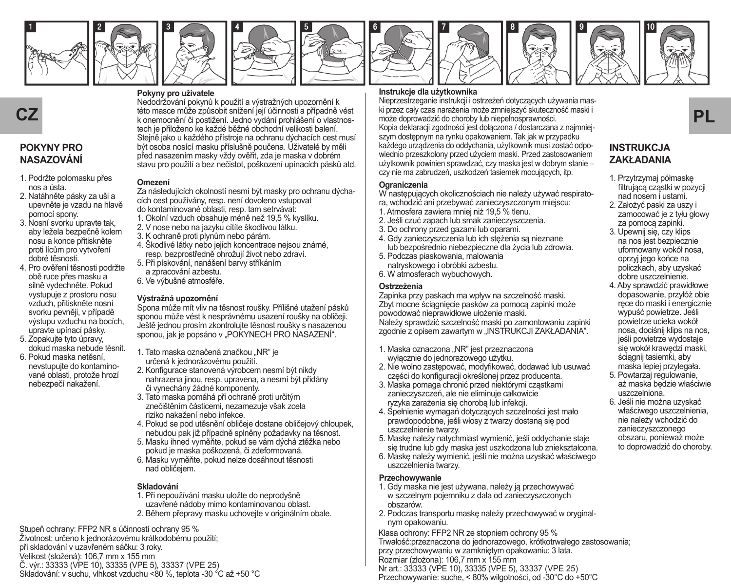





**Pokyny pro uživatele**











## **POKYNY PRO NASAZOVÁNÍ**

- 1. Podržte polomasku přes nos a ústa.
- 2. Natáhněte pásky za uši a upevněte je vzadu na hlavě pomocí spony.
- 3. Nosní svorku upravte tak, aby ležela bezpečně kolem nosu a konce přitiskněte proti lícům pro vytvoření dobré těsnosti.
- 4. Pro ověření těsnosti podržte obě ruce přes masku a silně vydechněte. Pokud vystupuje z prostoru nosu vzduch, přitiskněte nosní svorku pevněji, v případě výstupu vzduchu na bocích, upravte upínací pásky.
- 5. Zopakujte tyto úpravy, dokud maska nebude těsnit. 6. Pokud maska netěsní,
- nevstupujte do kontaminované oblasti, protože hrozí nebezpečí nakažení.

této masce může způsobit snížení její účinnosti a případně vést tech je přiloženo ke každé běžné obchodní velikosti balení. Stejně jako u každého přístroje na ochranu dýchacích cest musí být osoba nosící masku příslušně poučena. Uživatelé by měli před nasazením masky vždy ověřit, zda je maska v dobrém stavu pro použití a bez nečistot, poškození upínacích pásků atd.

Nedodržování pokynů k použití a výstražných upozornění k

#### **Omezení**

Za následujících okolností nesmí být masky pro ochranu dýchacích cest používány, resp. není dovoleno vstupovat do kontaminované oblasti, resp. tam setrvávat:

- 1. Okolní vzduch obsahuje méně než 19,5 % kyslíku.
- 2. V nose nebo na jazyku cítíte škodlivou látku.
- 3. K ochraně proti plynům nebo párám.
- 4. Škodlivé látky nebo jejich koncentrace nejsou známé, resp. bezprostředně ohrožují život nebo zdraví.
- 5. Při pískování, nanášení barvy stříkáním a zpracování azbestu.
- 6. Ve výbušné atmosféře.

#### **Výstražná upozornění**

Spona může mít vliv na těsnost roušky. Přílišné utažení pásků sponou může vést k nesprávnému usazení roušky na obličeji. Ještě jednou prosím zkontrolujte těsnost roušky s nasazenou sponou, jak je popsáno v "POKYNECH PRO NASAZENÍ".

- 1. Tato maska označená značkou "NR" je určená k jednorázovému použití.
- 2. Konfigurace stanovená výrobcem nesmí být nikdy nahrazena jinou, resp. upravena, a nesmí být přidány či vynechány žádné komponenty.
- 3. Tato maska pomáhá při ochraně proti určitým znečištěním částicemi, nezamezuje však zcela riziko nakažení nebo infekce.
- 4. Pokud se pod utěsnění obličeje dostane obličejový chloupek, nebudou pak již případně splněny požadavky na těsnost.
- 5. Masku ihned vyměňte, pokud se vám dýchá ztěžka nebo pokud je maska poškozená, či zdeformovaná.
- 6. Masku vyměňte, pokud nelze dosáhnout těsnosti nad obličejem.

#### **Skladování**

1. Při nepoužívání masku uložte do neprodyšně uzavřené nádoby mimo kontaminovanou oblast. 2. Během přepravy masku uchovejte v originálním obale.

Stupeň ochrany: FFP2 NR s účinností ochrany 95 % Životnost: určeno k jednorázovému krátkodobému použití; při skladování v uzavřeném sáčku: 3 roky. Velikost (složená): 106,7 mm x 155 mm Č. výr.: 33333 (VPE 10), 33335 (VPE 5), 33337 (VPE 25) Skladování: v suchu, vlhkost vzduchu <80 %, teplota -30 °C až +50 °C

#### **Instrukcje dla użytkownika**

**CZ** esto masce může zpúsobit snížení její účinnosti a připadně vést – ki przez caly czas narazenia moze zmiejszyc skutecznosc maski l<br>Romenocnění či postižení. Jedno vydání prohlášení o vlastnos- – može doprowadzić do cho Nieprzestrzeganie instrukcji i ostrzeżeń dotyczących używania maski przez cały czas narażenia może zmniejszyć skuteczność maski i może doprowadzić do choroby lub niepełnosprawności. Kopia deklaracji zgodności jest dołączona / dostarczana z najmniejszym dostępnym na rynku opakowaniem. Tak jak w przypadku każdego urządzenia do oddychania, użytkownik musi zostać odpowiednio przeszkolony przed użyciem maski. Przed zastosowaniem użytkownik powinien sprawdzać, czy maska jest w dobrym stanie – czy nie ma zabrudzeń, uszkodzeń tasiemek mocujących, itp.

#### **Ograniczenia**

W następujących okolicznościach nie należy używać respiratora, wchodzić ani przebywać zanieczyszczonym miejscu:

- 1. Atmosfera zawiera mniej niż 19,5 % tlenu.
- 2. Jeśli czuć zapach lub smak zanieczyszczenia.
- 3. Do ochrony przed gazami lub oparami.
- 4. Gdy zanieczyszczenia lub ich stężenia są nieznane lub bezpośrednio niebezpieczne dla życia lub zdrowia.
- 5. Podczas piaskowania, malowania natryskowego i obróbki azbestu.
- 6. W atmosferach wybuchowych.

#### **Ostrzeżenia**

Zapinka przy paskach ma wpływ na szczelność maski. Zbyt mocne ściągnięcie pasków za pomocą zapinki może powodować nieprawidłowe ułożenie maski. Należy sprawdzić szczelność maski po zamontowaniu zapinki zgodnie z opisem zawartym w "INSTRUKCJI ZAKŁADANIA".

- 1. Maska oznaczona "NR" jest przeznaczona wyłącznie do jednorazowego użytku.
- 2. Nie wolno zastępować, modyfikować, dodawać lub usuwać części do konfiguracji określonej przez producenta.
- 3. Maska pomaga chronić przed niektórymi cząstkami zanieczyszczeń, ale nie eliminuje całkowicie ryzyka zarażenia się chorobą lub infekcji.
- 4. Spełnienie wymagań dotyczących szczelności jest mało prawdopodobne, jeśli włosy z twarzy dostaną się pod uszczelnienie twarzy.
- 5. Maskę należy natychmiast wymienić, jeśli oddychanie staje się trudne lub gdy maska jest uszkodzona lub zniekształcona.
- 6. Maskę należy wymienić, jeśli nie można uzyskać właściwego uszczelnienia twarzy.

#### **Przechowywanie**

- 1. Gdy maska nie jest używana, należy ją przechowywać w szczelnym pojemniku z dala od zanieczyszczonych obszarów.
- 2. Podczas transportu maskę należy przechowywać w oryginalnym opakowaniu.

Klasa ochrony: FFP2 NR ze stopniem ochrony 95 % Trwałość:przeznaczona do jednorazowego, krótkotrwałego zastosowania; przy przechowywaniu w zamkniętym opakowaniu: 3 lata. Rozmiar (złożona): 106,7 mm x 155 mm Nr art.: 33333 (VPE 10), 33335 (VPE 5), 33337 (VPE 25) Przechowywanie: suche, < 80% wilgotności, od -30°C do +50°C



# **ZAKŁADANIA**

- 1. Przytrzymaj półmaskę filtrującą cząstki w pozycji nad nosem i ustami.
- 2. Założyć paski za uszy i zamocować je z tyłu głowy za pomocą zapinki.
- 3. Upewnij się, czy klips na nos jest bezpiecznie uformowany wokół nosa, oprzyj jego końce na policzkach, aby uzyskać dobre uszczelnienie.
- 4. Aby sprawdzić prawidłowe dopasowanie, przyłóż obie ręce do maski i energicznie wypuść powietrze. Jeśli powietrze ucieka wokół nosa, dociśnij klips na nos, jeśli powietrze wydostaje się wokół krawędzi maski, ściagnij tasiemki, aby maska lepiej przylegała.
- 5. Powtarzaj regulowanie, aż maska będzie właściwie uszczelniona.
- 6. Jeśli nie można uzyskać właściwego uszczelnienia, nie należy wchodzić do zanieczyszczonego obszaru, ponieważ może to doprowadzić do choroby.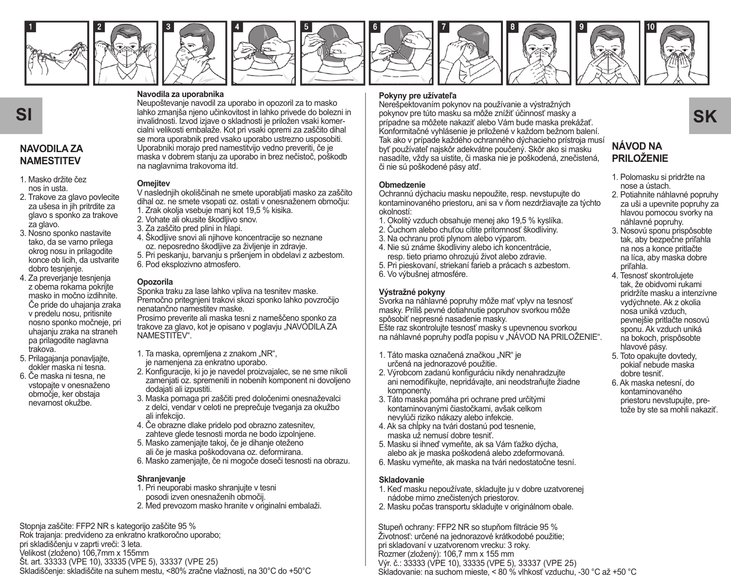

















## **NAVODILA ZA NAMESTITEV**

- 1. Masko držite čez nos in usta.
- 2. Trakove za glavo povlecite za ušesa in jih pritrdite za glavo s sponko za trakove za glavo.
- 3. Nosno sponko nastavite tako, da se varno prilega okrog nosu in prilagodite konce ob licih, da ustvarite dobro tesnienie.
- 4. Za preverjanje tesnjenja z obema rokama pokrijte masko in močno izdihnite. Če pride do uhajanja zraka v predelu nosu, pritisnite nosno sponko močneje, pri uhajanju zraka na straneh pa prilagodite naglavna trakova.
- 5. Prilagajanja ponavljajte, dokler maska ni tesna.
- 6. Če maska ni tesna, ne vstopajte v onesnaženo območje, ker obstaja nevarnost okužbe.

#### **Navodila za uporabnika**

Neupoštevanje navodil za uporabo in opozoril za to masko lahko zmanjša njeno učinkovitost in lahko privede do bolezni in invalidnosti. Izvod izjave o skladnosti je priložen vsaki komercialni velikosti embalaže. Kot pri vsaki opremi za zaščito dihal se mora uporabnik pred vsako uporabo ustrezno usposobiti. Uporabniki morajo pred namestitvijo vedno preveriti, če je maska v dobrem stanju za uporabo in brez nečistoč, poškodb na naglavnima trakovoma itd.

#### **Omejitev**

V naslednjih okoliščinah ne smete uporabljati masko za zaščito dihal oz. ne smete vsopati oz. ostati v onesnaženem območju:

- 1. Zrak okolja vsebuje manj kot 19,5 % kisika.
- 2. Vohate ali okusite škodljivo snov.
- 3. Za zaščito pred plini in hlapi.
- 4. Škodljive snovi ali njihove koncentracije so neznane oz. neposredno škodljive za življenje in zdravje.
- 5. Pri peskanju, barvanju s pršenjem in obdelavi z azbestom.
- 6. Pod eksplozivno atmosfero.

#### **Opozorila**

Sponka traku za lase lahko vpliva na tesnitev maske. Premočno pritegnjeni trakovi skozi sponko lahko povzročijo nenatančno namestitev maske.

Prosimo preverite ali maska tesni z nameščeno sponko za trakove za glavo, kot je opisano v poglavju "NAVODILA ZA NAMESTITEV".

- 1. Ta maska, opremljena z znakom "NR", je namenjena za enkratno uporabo.
- 2. Konfiguracije, ki jo je navedel proizvajalec, se ne sme nikoli zamenjati oz. spremeniti in nobenih komponent ni dovoljeno dodajati ali izpustiti.
- 3. Maska pomaga pri zaščiti pred določenimi onesnaževalci z delci, vendar v celoti ne preprečuje tveganja za okužbo ali infekcijo.
- 4. Če obrazne dlake pridelo pod obrazno zatesnitev, zahteve glede tesnosti morda ne bodo izpolnjene.
- 5. Masko zamenjajte takoj, če je dihanje oteženo ali če je maska poškodovana oz. deformirana.
- 6. Masko zamenjajte, če ni mogoče doseči tesnosti na obrazu.

#### **Shranjevanje**

- 1. Pri neuporabi masko shranjujte v tesni posodi izven onesnaženih območij.
- 2. Med prevozom masko hranite v originalni embalaži.

Stopnja zaščite: FFP2 NR s kategorijo zaščite 95 % Rok trajanja: predvideno za enkratno kratkoročno uporabo; pri skladiščenju v zaprti vreči: 3 leta. Velikost (zloženo) 106,7mm x 155mm Št. art. 33333 (VPE 10), 33335 (VPE 5), 33337 (VPE 25) Skladiščenje: skladiščite na suhem mestu, <80% zračne vlažnosti, na 30°C do +50°C

## **Pokyny pre užívateľa**

 ${\sf SI}$   $\sf SI$   $\sf S$   $\sf N$   $\sf S$   $\sf N$   $\sf S$   $\sf N$   $\sf N$   $\sf N$   $\sf N$   $\sf N$   $\sf N}$   $\sf N$   $\sf N}$   $\sf N}$   $\sf N}$   $\sf N}$   $\sf N}$   $\sf N}$   $\sf N}$   $\sf N}$   $\sf N}$   $\sf N}$   $\sf N}$   $\sf N}$   $\sf N}$   $\sf N}$   $\sf N}$   $\sf N}$   $\sf N}$   $\sf N}$   $\sf N}$   $\$ Nerešpektovaním pokynov na používanie a výstražných prípadne sa môžete nakaziť alebo Vám bude maska prekážať. Konformitačné vyhlásenie je priložené v každom bežnom balení. Tak ako v prípade každého ochranného dýchacieho prístroja musí byť používateľ najskôr adekvátne poučený. Skôr ako si masku nasadíte, vždy sa uistite, či maska nie je poškodená, znečistená, či nie sú poškodené pásy atď.

#### **Obmedzenie**

Ochrannú dýchaciu masku nepoužite, resp. nevstupujte do kontaminovaného priestoru, ani sa v ňom nezdržiavajte za týchto okolností:

- 1. Okolitý vzduch obsahuje menej ako 19,5 % kyslíka.
- 2. Čuchom alebo chuťou cítite prítomnosť škodliviny.
- 3. Na ochranu proti plynom alebo výparom.
- 4. Nie sú známe škodliviny alebo ich koncentrácie, resp. tieto priamo ohrozujú život alebo zdravie.

5. Pri pieskovaní, striekaní farieb a prácach s azbestom. 6. Vo výbušnej atmosfére.

## **Výstražné pokyny**

Svorka na náhlavné popruhy môže mať vplyv na tesnosť masky. Príliš pevné dotiahnutie popruhov svorkou môže spôsobiť nepresné nasadenie masky. Ešte raz skontrolujte tesnosť masky s upevnenou svorkou na náhlavné popruhy podľa popisu v "NÁVOD NA PRILOŽENIE".

- 1. Táto maska označená značkou "NR" je určená na jednorazové použitie.
- 2. Výrobcom zadanú konfiguráciu nikdy nenahradzujte ani nemodifikujte, nepridávajte, ani neodstraňujte žiadne komponenty.
- 3. Táto maska pomáha pri ochrane pred určitými kontaminovanými čiastočkami, avšak celkom nevylúči riziko nákazy alebo infekcie.
- 4. Ak sa chĺpky na tvári dostanú pod tesnenie, maska už nemusí dobre tesniť.
- 5. Masku si ihneď vymeňte, ak sa Vám ťažko dýcha, alebo ak je maska poškodená alebo zdeformovaná.
- 6. Masku vymeňte, ak maska na tvári nedostatočne tesní.

#### **Skladovanie**

- 1. Keď masku nepoužívate, skladujte ju v dobre uzatvorenej nádobe mimo znečistených priestorov.
- 2. Masku počas transportu skladujte v originálnom obale.

Stupeň ochrany: FFP2 NR so stupňom filtrácie 95 % Životnosť: určené na jednorazové krátkodobé použitie; pri skladovaní v uzatvorenom vrecku: 3 roky. Rozmer (zložený): 106,7 mm x 155 mm Výr. č.: 33333 (VPE 10), 33335 (VPE 5), 33337 (VPE 25) Skladovanie: na suchom mieste, < 80 % vlhkosť vzduchu, -30 °C až +50 °C

## **NÁVOD NA PRILOŽENIE**

- 1. Polomasku si pridržte na nose a ústach.
- 2. Potiahnite náhlavné popruhy za uši a upevnite popruhy za hlavou pomocou svorky na náhlavné popruhy.
- 3. Nosovú sponu prispôsobte tak, aby bezpečne priľahla na nos a konce pritlačte na líca, aby maska dobre priľahla.
- 4. Tesnosť skontrolujete tak, že obidvomi rukami pridržíte masku a intenzívne vydýchnete. Ak z okolia nosa uniká vzduch, pevnejšie pritlačte nosovú sponu. Ak vzduch uniká na bokoch, prispôsobte hlavové pásy.
- 5. Toto opakujte dovtedy, pokiaľ nebude maska dobre tesniť.
- 6. Ak maska netesní, do kontaminovaného priestoru nevstupujte, pretože by ste sa mohli nakaziť.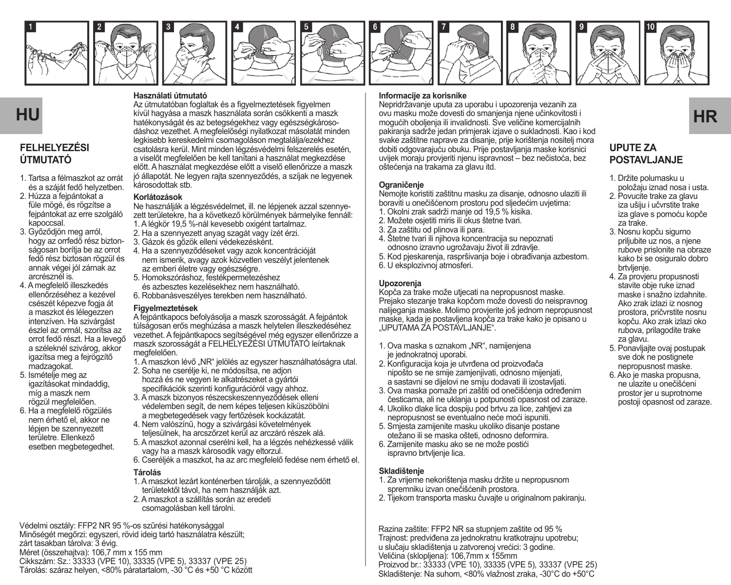

















## **FELHELYEZÉSI ÚTMUTATÓ**

- 1. Tartsa a félmaszkot az orrát és a száját fedő helyzetben.
- 2. Húzza a fejpántokat a füle mögé, és rögzítse a fejpántokat az erre szolgáló kapoccsal.
- 3. Győződjön meg arról, hogy az orrfedő rész biztonságosan borítia be az orrot fedő rész biztosan rögzül és annak végei jól zárnak az arcrésznél is.
- 4. A megfelelő illeszkedés ellenőrzéséhez a kezével csészét képezve fogja át a maszkot és lélegezzen intenzíven. Ha szivárgást észlel az orrnál, szorítsa az orrot fedő részt. Ha a levegő a széleknél szivárog, akkor igazítsa meg a fejrögzítő madzagokat.
- 5. Ismételje meg az igazításokat mindaddig, míg a maszk nem rögzül megfelelően.
- 6. Ha a megfelelő rögzülés nem érhető el, akkor ne lépjen be szennyezett területre. Ellenkező esetben megbetegedhet.

#### **Használati útmutató**

Az útmutatóban foglaltak és a figyelmeztetések figyelmen hatékonyságát és az betegségekhez vagy egészségkárosodáshoz vezethet. A megfelelőségi nyilatkozat másolatát minden legkisebb kereskedelmi csomagoláson megtalálja/ezekhez csatolásra kerül. Mint minden légzésvédelmi felszerelés esetén, a viselőt megfelelően be kell tanítani a használat megkezdése előtt. A használat megkezdése előtt a viselő ellenőrizze a maszk jó állapotát. Ne legyen rajta szennyeződés, a szíjak ne legyenek károsodottak stb.

#### **Korlátozások**

Ne használják a légzésvédelmet, ill. ne lépjenek azzal szennyezett területekre, ha a következő körülmények bármelyike fennáll: 1. A légkör 19,5 %-nál kevesebb oxigént tartalmaz.

- 2. Ha a szennyezett anyag szagát vagy ízét érzi.
- 3. Gázok és gőzök elleni védekezésként.
- 4. Ha a szennyeződéseket vagy azok koncentrációját nem ismerik, avagy azok közvetlen veszélyt jelentenek az emberi életre vagy egészségre.
- 5. Homokszóráshoz, festékpermetezéshez és azbesztes kezelésekhez nem használható.
- 6. Robbanásveszélyes terekben nem használható.

#### **Figyelmeztetések**

A fejpántkapocs befolyásolja a maszk szorosságát. A fejpántok túlságosan erős meghúzása a maszk helytelen illeszkedéséhez vezethet. A fejpántkapocs segítségével még egyszer ellenőrizze a maszk szorosságát a FELHELYEZÉSI ÚTMUTATÓ leírtaknak megfelelően.

1. A maszkon lévő "NR" jelölés az egyszer használhatóságra utal.

- 2. Soha ne cserélje ki, ne módosítsa, ne adjon hozzá és ne vegyen le alkatrészeket a gyártói specifikációk szerinti konfigurációról vagy ahhoz.
- 3. A maszk bizonyos részecskeszennyeződések elleni védelemben segít, de nem képes teljesen kiküszöbölni a megbetegedések vagy fertőzések kockázatát.
- 4. Nem valószínű, hogy a szivárgási követelmények teljesülnek, ha arcszőrzet kerül az arczáró részek alá.
- 5. A maszkot azonnal cserélni kell, ha a légzés nehézkessé válik vagy ha a maszk károsodik vagy eltorzul.
- 6. Cseréljék a maszkot, ha az arc megfelelő fedése nem érhető el.

#### **Tárolás**

- 1. A maszkot lezárt konténerben tárolják, a szennyeződött területektől távol, ha nem használják azt.
- 2. A maszkot a szállítás során az eredeti csomagolásban kell tárolni.

Védelmi osztály: FFP2 NR 95 %-os szűrési hatékonysággal Minőségét megőrzi: egyszeri, rövid ideig tartó használatra készült; zárt tasakban tárolva: 3 évig. Méret (összehajtva): 106,7 mm x 155 mm Cikkszám: Sz.: 33333 (VPE 10), 33335 (VPE 5), 33337 (VPE 25) Tárolás: száraz helyen, <80% páratartalom, -30 °C és +50 °C között

#### **Informacije za korisnike**

**HU** kívül hagyása a maszk használata során csökkenti a maszk **bezető a magyar a magyar a magyar a magyar a magyar HR**<br>HU kívül hagyása a maszk használata során csökkenti a maszk **bezető a magyar a magyar a magyar a magyar** Nepridržavanje uputa za uporabu i upozorenja vezanih za ovu masku može dovesti do smanjenja njene učinkovitosti i mogućih oboljenja ili invalidnosti. Sve veličine komercijalnih pakiranja sadrže jedan primjerak izjave o sukladnosti. Kao i kod svake zaštitne naprave za disanje, prije korištenja nositelj mora dobiti odgovarajuću obuku. Prije postavljanja maske korisnici uvijek moraju provjeriti njenu ispravnost – bez nečistoća, bez oštećenja na trakama za glavu itd.

#### **Ograničenje**

Nemojte koristiti zaštitnu masku za disanje, odnosno ulaziti ili boraviti u onečišćenom prostoru pod sljedećim uvjetima:

- 1. Okolni zrak sadrži manje od 19,5 % kisika.
- 2. Možete osjetiti miris ili okus štetne tvari.
- 3. Za zaštitu od plinova ili para.
- 4. Štetne tvari ili njihova koncentracija su nepoznati odnosno izravno ugrožavaju život ili zdravlje.

5. Kod pjeskarenja, raspršivanja boje i obrađivanja azbestom. 6. U eksplozivnoj atmosferi.

#### **Upozorenja**

Kopča za trake može utjecati na nepropusnost maske. Prejako stezanje traka kopčom može dovesti do neispravnog nalijeganja maske. Molimo provjerite još jednom nepropusnost maske, kada je postavljena kopča za trake kako je opisano u "UPUTAMA ZA POSTAVLJANJE".

- 1. Ova maska s oznakom "NR", namijenjena je jednokratnoj uporabi.
- 2. Konfiguracija koja je utvrđena od proizvođača nipošto se ne smije zamjenjivati, odnosno mijenjati, a sastavni se dijelovi ne smiju dodavati ili izostavljati.
- 3. Ova maska pomaže pri zaštiti od onečišćenja određenim česticama, ali ne uklanja u potpunosti opasnost od zaraze.
- 4. Ukoliko dlake lica dospiju pod brtvu za lice, zahtjevi za nepropusnost se eventualno neće moći ispuniti.
- 5. Smjesta zamijenite masku ukoliko disanje postane otežano ili se maska ošteti, odnosno deformira.
- 6. Zamijenite masku ako se ne može postići ispravno brtvljenje lica.

#### **Skladištenje**

- 1. Za vrijeme nekorištenja masku držite u nepropusnom spremniku izvan onečišćenih prostora.
- 2. Tijekom transporta masku čuvajte u originalnom pakiranju.

Razina zaštite: FFP2 NR sa stupnjem zaštite od 95 % Trajnost: predviđena za jednokratnu kratkotrajnu upotrebu; u slučaju skladištenja u zatvorenoj vrećici: 3 godine. Veličina (sklopljena): 106,7mm x 155mm Proizvod br.: 33333 (VPE 10), 33335 (VPE 5), 33337 (VPE 25) Skladištenje: Na suhom, <80% vlažnost zraka, -30°C do +50°C

## **UPUTE ZA POSTAVLJANJE**

- 1. Držite polumasku u položaju iznad nosa i usta.
- 2. Povucite trake za glavu iza ušiju i učvrstite trake iza glave s pomoću kopče za trake.
- 3. Nosnu kopču sigurno priljubite uz nos, a njene rubove prislonite na obraze kako bi se osiguralo dobro brtvljenje.
- 4. Za provjeru propusnosti stavite obje ruke iznad maske i snažno izdahnite. Ako zrak izlazi iz nosnog prostora, pričvrstite nosnu kopču. Ako zrak izlazi oko rubova, prilagodite trake za glavu.
- 5. Ponavljajte ovaj postupak sve dok ne postignete nepropusnost maske.
- 6. Ako je maska propusna, ne ulazite u onečišćeni prostor jer u suprotnome postoji opasnost od zaraze.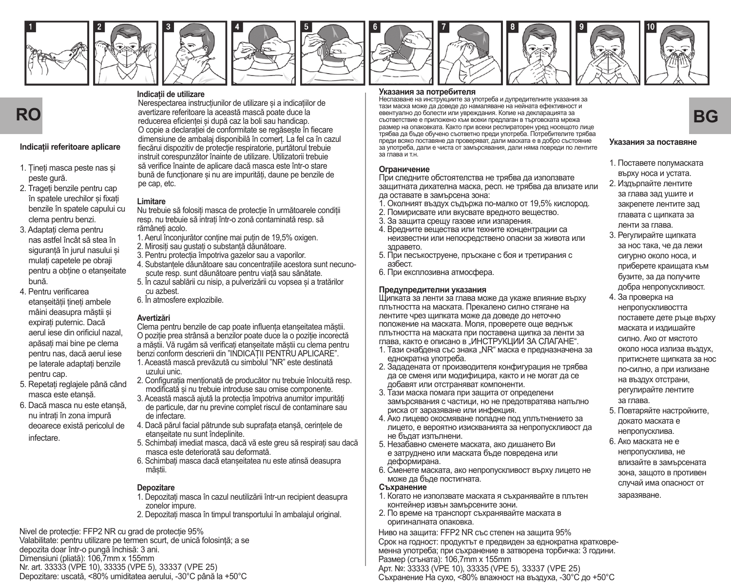





**Indicații de utilizare**











#### **Indicații referitoare aplicare**

- 1. Țineți masca peste nas și peste gură.
- 2. Trageți benzile pentru cap în spatele urechilor și fixați benzile în spatele capului cu clema pentru benzi.
- 3. Adaptați clema pentru nas astfel încât să stea în siguranță în jurul nasului și mulați capetele pe obraji pentru a obține o etanșeitate bună.
- 4. Pentru verificarea etanșeității țineți ambele mâini deasupra măștii și expirați puternic. Dacă aerul iese din orificiul nazal, apăsați mai bine pe clema pentru nas, dacă aerul iese pe laterale adaptați benzile pentru cap.
- 5. Repetați reglajele până când masca este etanșă.
- 6. Dacă masca nu este etanșă, nu intrați în zona impură deoarece există pericolul de infectare.

Nerespectarea instrucțiunilor de utilizare și a indicațiilor de avertizare referitoare la această mască poate duce la reducerea eficienței și după caz la boli sau handicap. O copie a declarației de conformitate se regăsește în fiecare dimensiune de ambalaj disponibilă în comerț. La fel ca în cazul fiecărui dispozitiv de protecție respiratorie, purtătorul trebuie instruit corespunzător înainte de utilizare. Utilizatorii trebuie să verifice înainte de aplicare dacă masca este într-o stare bună de funcționare și nu are impurități, daune pe benzile de pe cap, etc.

#### **Limitare**

Nu trebuie să folosiți masca de protecție în următoarele condiții resp. nu trebuie să intrați într-o zonă contaminată resp. să rămâneți acolo.

- 1. Aerul înconjurător conține mai puțin de 19,5% oxigen.
- 2. Mirositi sau gustati o substanță dăunătoare
- 3. Pentru protecția împotriva gazelor sau a vaporilor.
- 4. Substanțele dăunătoare sau concentrațiile acestora sunt necunoscute resp. sunt dăunătoare pentru viață sau sănătate.
- 5. În cazul sablării cu nisip, a pulverizării cu vopsea și a tratărilor cu azbest.
- 6. În atmosfere explozibile.

#### **Avertizări**

Clema pentru benzile de cap poate influența etanșeitatea măștii. O poziție prea strânsă a benzilor poate duce la o poziție incorectă a măștii. Vă rugăm să verificați etanșeitate măștii cu clema pentru benzi conform descrierii din "INDICAȚII PENTRU APLICARE". 1. Această mască prevăzută cu simbolul "NR" este destinată uzului unic.

- 2. Configurația menționată de producător nu trebuie înlocuită resp. modificată și nu trebuie introduse sau omise componente.
- 3. Această mască ajută la protecția împotriva anumitor impurități de particule, dar nu previne complet riscul de contaminare sau de infectare.
- 4. Dacă părul facial pătrunde sub suprafața etanșă, cerințele de etanșeitate nu sunt îndeplinite.
- 5. Schimbați imediat masca, dacă vă este greu să respirați sau dacă masca este deteriorată sau deformată.
- 6. Schimbați masca dacă etanșeitatea nu este atinsă deasupra măștii.

#### **Depozitare**

- 1. Depozitați masca în cazul neutilizării într-un recipient deasupra zonelor impure.
- 2. Depozitați masca în timpul transportului în ambalajul original.

Nivel de protecție: FFP2 NR cu grad de protecție 95% Valabilitate: pentru utilizare pe termen scurt, de unică folosință; a se

depozita doar într-o pungă închisă: 3 ani.

Dimensiuni (pliată): 106,7mm x 155mm

Nr. art. 33333 (VPE 10), 33335 (VPE 5), 33337 (VPE 25) Depozitare: uscată, <80% umiditatea aerului, -30°C până la +50°C

#### **Указания за потребителя**

**RO** avertizer erferitorie la aceastá mascá poste duce la escuela especialmente por escriptivo en el proporcionalmente forme el proporcionalmente a proporcionalmente de la contradactionalmente de la contradactionalmente de Неспазване на инструкциите за употреба и дупредителните указания за тази маска може да доведе до намаляване на нейната ефективност и съответствие е приложено към всеки предлаган в търговската мрежа размер на опаковката. Както при всеки респираторен уред носещото лице трябва да бъде обучено съответно преди употреба. Потребителите трябва преди всяко поставяне да проверяват, дали маската е в добро състояние за употреба, дали е чиста от замърсявания, дали няма повреди по лентите за глава и т.н.

#### **Ограничение**

При следните обстоятелства не трябва да използвате защитната дихателна маска, респ. не трябва да влизате или да оставате в замърсена зона:

- 1. Околният въздух съдържа по-малко от 19,5% кислород.
- 2. Помирисвате или вкусвате вредното вещество.
- 3. За защита срещу газове или изпарения.
- 4. Вредните вещества или техните концентрации са неизвестни или непосредствено опасни за живота или здравето.
- 5. При песъкоструене, пръскане с боя и третирания с азбест.
- 6. При експлозивна атмосфера.

#### **Предупредителни указания**

Щипката за ленти за глава може да укаже влияние върху плътността на маската. Прекалено силно стягане на лентите чрез щипката може да доведе до неточно положение на маската. Моля, проверете още веднъж плътността на маската при поставена щипка за ленти за глава, както е описано в "ИНСТРУКЦИИ ЗА СЛАГАНЕ".

- 1. Тази снабдена със знака "NR" маска е предназначена за еднократна употреба.
- 2. Зададената от производителя конфигурация не трябва да се сменя или модифицира, както и не могат да се добавят или отстраняват компоненти.
- 3. Тази маска помага при защита от определени замърсявания с частици, но не предотвратява напълно риска от заразяване или инфекция.
- 4. Ако лицево окосмяване попадне под уплътнението за лицето, е вероятно изискванията за непропускливост да не бъдат изпълнени.
- 5. Незабавно сменете маската, ако дишането Ви е затруднено или маската бъде повредена или деформирана.
- 6. Сменете маската, ако непропускливост върху лицето не може да бъде постигната.

#### **Съхранение**

- 1. Когато не използвате маската я съхранявайте в плътен контейнер извън замърсените зони.
- 2. По време на транспорт съхранявайте маската в оригиналната опаковка.

Ниво на защита: FFP2 NR със степен на защита 95% Срок на годност: продуктът е предвиден за еднократна кратковременна употреба; при съхранение в затворена торбичка: 3 години. Размер (сгъната): 106,7mm x 155mm Арт. №: 33333 (VPE 10), 33335 (VPE 5), 33337 (VPE 25) Съхранение На сухо, <80% влажност на въздуха, -30°C до +50°C

#### **Указания за поставяне**

- 1. Поставете полумаската върху носа и устата.
- 2. Издърпайте лентите за глава зад ушите и закрепете лентите зад главата с щипката за ленти за глава.
- 3. Регулирайте щипката за нос така, че да лежи сигурно около носа, и приберете краищата към бузите, за да получите добра непропускливост.
- 4. За проверка на непропускливостта поставете дете ръце върху маската и издишайте силно. Ако от мястото около носа излиза въздух, притиснете щипката за нос по-силно, а при излизане на въздух отстрани, регулирайте лентите за глава.
- 5. Повтаряйте настройките, докато маската е непропусклива.
- 6. Ако маската не е непропусклива, не влизайте в замърсената зона, защото в противен случай има опасност от заразяване.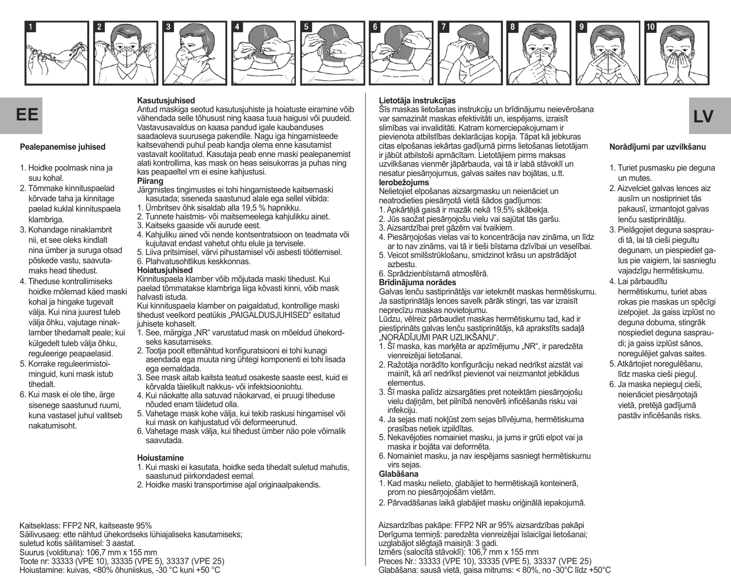















#### **Pealepanemise juhised**

- 1. Hoidke poolmask nina ja suu kohal.
- 2. Tõmmake kinnituspaelad kõrvade taha ja kinnitage paelad kuklal kinnituspaela klambriga.
- 3. Kohandage ninaklambrit nii, et see oleks kindlalt nina ümber ja suruga otsad põskede vastu, saavutamaks head tihedust.
- 4. Tiheduse kontrollimiseks hoidke mõlemad käed maski kohal ja hingake tugevalt välja. Kui nina juurest tuleb välja õhku, vajutage ninaklamber tihedamalt peale; kui külgedelt tuleb välja õhku, reguleerige peapaelasid.
- 5. Korrake reguleerimistoiminguid, kuni mask istub tihedalt.
- 6. Kui mask ei ole tihe, ärge sisenege saastunud ruumi, kuna vastasel juhul valitseb nakatumisoht.

**Kasutusjuhised**

Antud maskiga seotud kasutusjuhiste ja hoiatuste eiramine võib vähendada selle tõhusust ning kaasa tuua haigusi või puudeid. Vastavusavaldus on kaasa pandud igale kaubanduses saadaoleva suurusega pakendile. Nagu iga hingamisteede kaitsevahendi puhul peab kandja olema enne kasutamist vastavalt koolitatud. Kasutaja peab enne maski pealepanemist alati kontrollima, kas mask on heas seisukorras ja puhas ning kas peapaeltel vm ei esine kahjustusi.

#### **Piirang**

- Järgmistes tingimustes ei tohi hingamisteede kaitsemaski kasutada; siseneda saastunud alale ega sellel viibida:
- 1. Ümbritsev õhk sisaldab alla 19,5 % hapnikku.
- 2. Tunnete haistmis- või maitsemeelega kahjulikku ainet.
- 3. Kaitseks gaaside või aurude eest.
- 4. Kahjuliku ained või nende kontsentratsioon on teadmata või kujutavat endast vahetut ohtu elule ja tervisele.
- 5. Liiva pritsimisel, värvi pihustamisel või asbesti töötlemisel.
- 6. Plahvatusohtlikus keskkonnas.

#### **Hoiatusjuhised**

Kinnituspaela klamber võib mõjutada maski tihedust. Kui paelad tõmmatakse klambriga liiga kõvasti kinni, võib mask halvasti istuda.

Kui kinnituspaela klamber on paigaldatud, kontrollige maski tihedust veelkord peatükis "PAIGALDUSJUHISED" esitatud juhisete kohaselt.

- 1. See, märgiga "NR" varustatud mask on mõeldud ühekordseks kasutamiseks.
- 2. Tootja poolt ettenähtud konfiguratsiooni ei tohi kunagi asendada ega muuta ning ühtegi komponenti ei tohi lisada ega eemaldada.
- 3. See mask aitab kaitsta teatud osakeste saaste eest, kuid ei kõrvalda täielikult nakkus- või infektsiooniohtu.
- 4. Kui näokatte alla satuvad näokarvad, ei pruugi tiheduse nõuded enam täidetud olla.
- 5. Vahetage mask kohe välja, kui tekib raskusi hingamisel või kui mask on kahjustatud või deformeerunud.
- 6. Vahetage mask välja, kui tihedust ümber näo pole võimalik saavutada.

#### **Hoiustamine**

- 1. Kui maski ei kasutata, hoidke seda tihedalt suletud mahutis, saastunud piirkondadest eemal.
- 2. Hoidke maski transportimise ajal originaalpakendis.

Kaitseklass: FFP2 NR, kaitseaste 95% Säilivusaeg: ette nähtud ühekordseks lühiajaliseks kasutamiseks; suletud kotis säilitamisel: 3 aastat. Suurus (voldituna): 106,7 mm x 155 mm Toote nr: 33333 (VPE 10), 33335 (VPE 5), 33337 (VPE 25) Hoiustamine: kuivas, <80% õhuniiskus, -30 °C kuni +50 °C

## **Lietotāja instrukcijas**

**EE LV** var samazināt maskas efektivitāti un, iespējams, izraisīt Šīs maskas lietošanas instrukciju un brīdinājumu neievērošana slimības vai invaliditāti. Katram komerciepakojumam ir

pievienota atbilstības deklarācijas kopija. Tāpat kā jebkuras citas elpošanas iekārtas gadījumā pirms lietošanas lietotājam ir jābūt atbilstoši apmācītam. Lietotājiem pirms maksas uzvilkšanas vienmēr jāpārbauda, vai tā ir labā stāvoklī un nesatur piesārņojumus, galvas saites nav bojātas, u.tt. **Ierobežojums**

#### Nelietojiet elpošanas aizsargmasku un neienāciet un neatrodieties piesārņotā vietā šādos gadījumos:

- 1. Apkārtējā gaisā ir mazāk nekā 19,5% skābekļa.
- 2. Jūs saožat piesārņojošu vielu vai sajūtat tās garšu.
- 3. Aizsardzībai pret gāzēm vai tvaikiem.
- 4. Piesārņojošas vielas vai to koncentrācija nav zināma, un līdz ar to nav zināms, vai tā ir tieši bīstama dzīvībai un veselībai.
- 5. Veicot smilšstrūklošanu, smidzinot krāsu un apstrādājot azbestu.
- 6. Sprādzienbīstamā atmosfērā.

#### **Brīdinājuma norādes**

Galvas lenču sastiprinātājs var ietekmēt maskas hermētiskumu. Ja sastiprinātājs lences savelk pārāk stingri, tas var izraisīt neprecīzu maskas novietojumu.

Lūdzu, vēlreiz pārbaudiet maskas hermētiskumu tad, kad ir piestiprināts galvas lenču sastiprinātājs, kā aprakstīts sadaļā "NORĀDĪJUMI PAR UZLIKŠANU".

- 1. Šī maska, kas marķēta ar apzīmējumu "NR", ir paredzēta vienreizējai lietošanai.
- 2. Ražotāja norādīto konfigurāciju nekad nedrīkst aizstāt vai mainīt, kā arī nedrīkst pievienot vai neizmantot jebkādus elementus.
- 3. Šī maska palīdz aizsargāties pret noteiktām piesārņojošu vielu daļiņām, bet pilnībā nenovērš inficēšanās risku vai infekciju.
- 4. Ja sejas mati nokļūst zem sejas blīvējuma, hermētiskuma prasības netiek izpildītas.
- 5. Nekavējoties nomainiet masku, ja jums ir grūti elpot vai ja maska ir bojāta vai deformēta.
- 6. Nomainiet masku, ja nav iespējams sasniegt hermētiskumu virs sejas.

#### **Glabāšana**

- 1. Kad masku nelieto, glabājiet to hermētiskajā konteinerā, prom no piesārņojošām vietām.
- 2. Pārvadāšanas laikā glabājiet masku oriģinālā iepakojumā.

Aizsardzības pakāpe: FFP2 NR ar 95% aizsardzības pakāpi Derīguma termiņš: paredzēta vienreizējai īslaicīgai lietošanai; uzglabājot slēgtajā maisiņā: 3 gadi. Izmērs (salocītā stāvoklī): 106,7 mm x 155 mm Preces Nr.: 33333 (VPE 10), 33335 (VPE 5), 33337 (VPE 25) Glabāšana: sausā vietā, gaisa mitrums: < 80%, no -30°C līdz +50°C



#### **Norādījumi par uzvilkšanu**

- 1. Turiet pusmasku pie deguna un mutes.
- 2. Aizvelciet galvas lences aiz ausīm un nostipriniet tās pakausī, izmantojot galvas lenču sastiprinātāju.
- 3. Pielāgojiet deguna saspraudi tā, lai tā cieši piegultu degunam, un piespiediet galus pie vaigiem, lai sasniegtu vajadzīgu hermētiskumu.
- 4. Lai pārbaudītu hermētiskumu, turiet abas rokas pie maskas un spēcīgi izelpojiet. Ja gaiss izplūst no deguna dobuma, stingrāk nospiediet deguna saspraudi; ja gaiss izplūst sānos, noregulējiet galvas saites.
- 5. Atkārtojiet noregulēšanu, līdz maska cieši pieguļ.
- 6. Ja maska nepieguļ cieši, neienāciet piesārņotajā vietā, pretējā gadījumā pastāv inficēšanās risks.